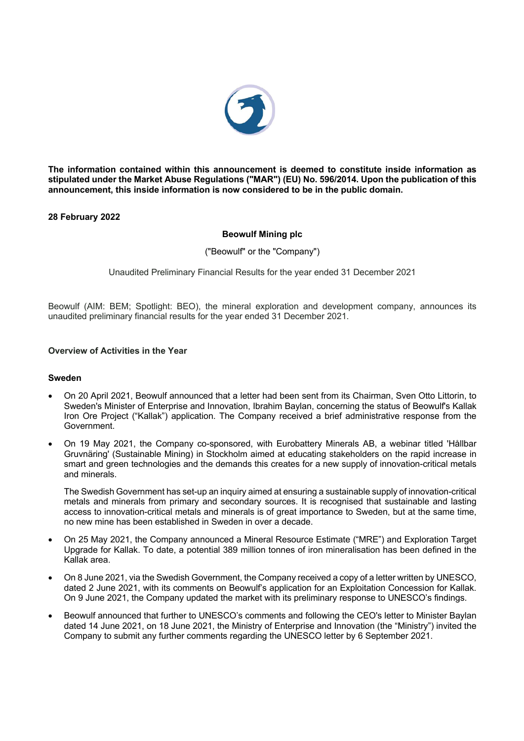

**The information contained within this announcement is deemed to constitute inside information as stipulated under the Market Abuse Regulations ("MAR") (EU) No. 596/2014. Upon the publication of this announcement, this inside information is now considered to be in the public domain.**

**28 February 2022**

## **Beowulf Mining plc**

("Beowulf" or the "Company")

Unaudited Preliminary Financial Results for the year ended 31 December 2021

Beowulf (AIM: BEM; Spotlight: BEO), the mineral exploration and development company, announces its unaudited preliminary financial results for the year ended 31 December 2021.

#### **Overview of Activities in the Year**

#### **Sweden**

- On 20 April 2021, Beowulf announced that a letter had been sent from its Chairman, Sven Otto Littorin, to Sweden's Minister of Enterprise and Innovation, Ibrahim Baylan, concerning the status of Beowulf's Kallak Iron Ore Project ("Kallak") application. The Company received a brief administrative response from the Government.
- On 19 May 2021, the Company co-sponsored, with Eurobattery Minerals AB, a webinar titled 'Hållbar Gruvnäring' (Sustainable Mining) in Stockholm aimed at educating stakeholders on the rapid increase in smart and green technologies and the demands this creates for a new supply of innovation-critical metals and minerals.

The Swedish Government has set-up an inquiry aimed at ensuring a sustainable supply of innovation-critical metals and minerals from primary and secondary sources. It is recognised that sustainable and lasting access to innovation-critical metals and minerals is of great importance to Sweden, but at the same time, no new mine has been established in Sweden in over a decade.

- On 25 May 2021, the Company announced a Mineral Resource Estimate ("MRE") and Exploration Target Upgrade for Kallak. To date, a potential 389 million tonnes of iron mineralisation has been defined in the Kallak area.
- On 8 June 2021, via the Swedish Government, the Company received a copy of a letter written by UNESCO, dated 2 June 2021, with its comments on Beowulf's application for an Exploitation Concession for Kallak. On 9 June 2021, the Company updated the market with its preliminary response to UNESCO's findings.
- Beowulf announced that further to UNESCO's comments and following the CEO's letter to Minister Baylan dated 14 June 2021, on 18 June 2021, the Ministry of Enterprise and Innovation (the "Ministry") invited the Company to submit any further comments regarding the UNESCO letter by 6 September 2021.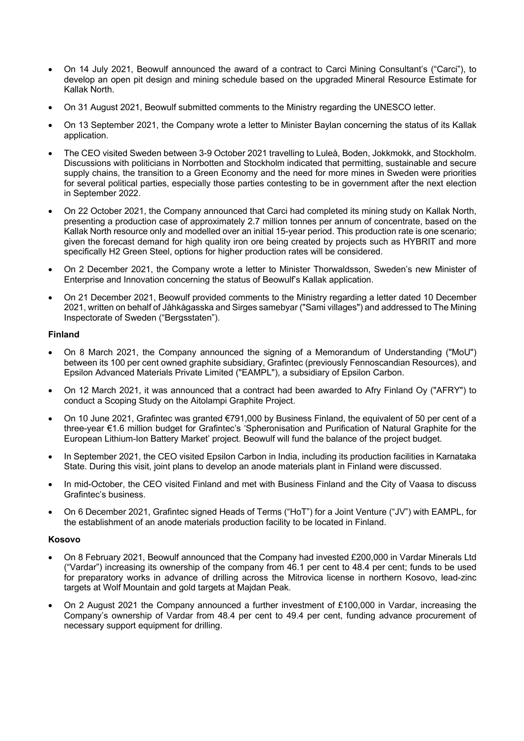- On 14 July 2021, Beowulf announced the award of a contract to Carci Mining Consultant's ("Carci"), to develop an open pit design and mining schedule based on the upgraded Mineral Resource Estimate for Kallak North.
- On 31 August 2021, Beowulf submitted comments to the Ministry regarding the UNESCO letter.
- On 13 September 2021, the Company wrote a letter to Minister Baylan concerning the status of its Kallak application.
- The CEO visited Sweden between 3-9 October 2021 travelling to Luleå, Boden, Jokkmokk, and Stockholm. Discussions with politicians in Norrbotten and Stockholm indicated that permitting, sustainable and secure supply chains, the transition to a Green Economy and the need for more mines in Sweden were priorities for several political parties, especially those parties contesting to be in government after the next election in September 2022.
- On 22 October 2021, the Company announced that Carci had completed its mining study on Kallak North, presenting a production case of approximately 2.7 million tonnes per annum of concentrate, based on the Kallak North resource only and modelled over an initial 15-year period. This production rate is one scenario; given the forecast demand for high quality iron ore being created by projects such as HYBRIT and more specifically H2 Green Steel, options for higher production rates will be considered.
- On 2 December 2021, the Company wrote a letter to Minister Thorwaldsson, Sweden's new Minister of Enterprise and Innovation concerning the status of Beowulf's Kallak application.
- On 21 December 2021, Beowulf provided comments to the Ministry regarding a letter dated 10 December 2021, written on behalf of Jåhkågasska and Sirges samebyar ("Sami villages") and addressed to The Mining Inspectorate of Sweden ("Bergsstaten").

## **Finland**

- On 8 March 2021, the Company announced the signing of a Memorandum of Understanding ("MoU") between its 100 per cent owned graphite subsidiary, Grafintec (previously Fennoscandian Resources), and Epsilon Advanced Materials Private Limited ("EAMPL"), a subsidiary of Epsilon Carbon.
- On 12 March 2021, it was announced that a contract had been awarded to Afry Finland Oy ("AFRY") to conduct a Scoping Study on the Aitolampi Graphite Project.
- On 10 June 2021, Grafintec was granted €791,000 by Business Finland, the equivalent of 50 per cent of a three-year €1.6 million budget for Grafintec's 'Spheronisation and Purification of Natural Graphite for the European Lithium-Ion Battery Market' project. Beowulf will fund the balance of the project budget.
- In September 2021, the CEO visited Epsilon Carbon in India, including its production facilities in Karnataka State. During this visit, joint plans to develop an anode materials plant in Finland were discussed.
- In mid-October, the CEO visited Finland and met with Business Finland and the City of Vaasa to discuss Grafintec's business.
- On 6 December 2021, Grafintec signed Heads of Terms ("HoT") for a Joint Venture ("JV") with EAMPL, for the establishment of an anode materials production facility to be located in Finland.

## **Kosovo**

- On 8 February 2021, Beowulf announced that the Company had invested £200,000 in Vardar Minerals Ltd ("Vardar") increasing its ownership of the company from 46.1 per cent to 48.4 per cent; funds to be used for preparatory works in advance of drilling across the Mitrovica license in northern Kosovo, lead-zinc targets at Wolf Mountain and gold targets at Majdan Peak.
- On 2 August 2021 the Company announced a further investment of £100,000 in Vardar, increasing the Company's ownership of Vardar from 48.4 per cent to 49.4 per cent, funding advance procurement of necessary support equipment for drilling.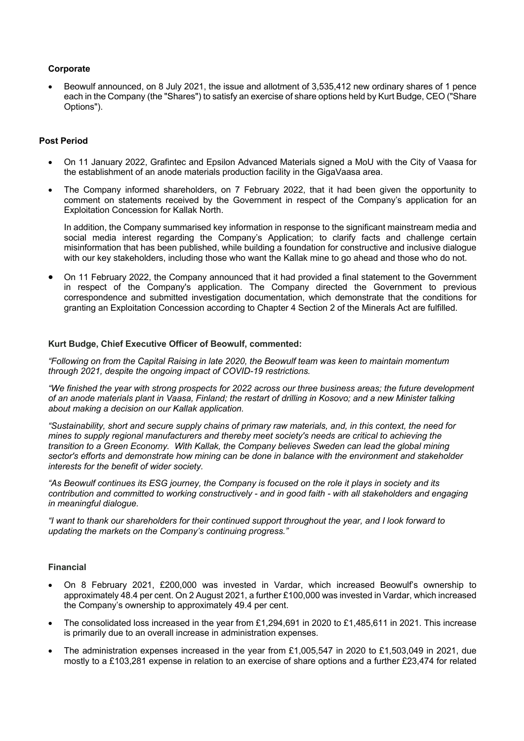## **Corporate**

• Beowulf announced, on 8 July 2021, the issue and allotment of 3,535,412 new ordinary shares of 1 pence each in the Company (the "Shares") to satisfy an exercise of share options held by Kurt Budge, CEO ("Share Options").

#### **Post Period**

- On 11 January 2022, Grafintec and Epsilon Advanced Materials signed a MoU with the City of Vaasa for the establishment of an anode materials production facility in the GigaVaasa area.
- The Company informed shareholders, on 7 February 2022, that it had been given the opportunity to comment on statements received by the Government in respect of the Company's application for an Exploitation Concession for Kallak North.

In addition, the Company summarised key information in response to the significant mainstream media and social media interest regarding the Company's Application; to clarify facts and challenge certain misinformation that has been published, while building a foundation for constructive and inclusive dialogue with our key stakeholders, including those who want the Kallak mine to go ahead and those who do not.

• On 11 February 2022, the Company announced that it had provided a final statement to the Government in respect of the Company's application. The Company directed the Government to previous correspondence and submitted investigation documentation, which demonstrate that the conditions for granting an Exploitation Concession according to Chapter 4 Section 2 of the Minerals Act are fulfilled.

## **Kurt Budge, Chief Executive Officer of Beowulf, commented:**

*"Following on from the Capital Raising in late 2020, the Beowulf team was keen to maintain momentum through 2021, despite the ongoing impact of COVID-19 restrictions.*

*"We finished the year with strong prospects for 2022 across our three business areas; the future development of an anode materials plant in Vaasa, Finland; the restart of drilling in Kosovo; and a new Minister talking about making a decision on our Kallak application.*

*"Sustainability, short and secure supply chains of primary raw materials, and, in this context, the need for mines to supply regional manufacturers and thereby meet society's needs are critical to achieving the transition to a Green Economy. With Kallak, the Company believes Sweden can lead the global mining sector's efforts and demonstrate how mining can be done in balance with the environment and stakeholder interests for the benefit of wider society.*

*"As Beowulf continues its ESG journey, the Company is focused on the role it plays in society and its contribution and committed to working constructively - and in good faith - with all stakeholders and engaging in meaningful dialogue.*

*"I want to thank our shareholders for their continued support throughout the year, and I look forward to updating the markets on the Company's continuing progress."*

## **Financial**

- On 8 February 2021, £200,000 was invested in Vardar, which increased Beowulf's ownership to approximately 48.4 per cent. On 2 August 2021, a further £100,000 was invested in Vardar, which increased the Company's ownership to approximately 49.4 per cent.
- The consolidated loss increased in the year from £1,294,691 in 2020 to £1,485,611 in 2021. This increase is primarily due to an overall increase in administration expenses.
- The administration expenses increased in the year from £1,005,547 in 2020 to £1,503,049 in 2021, due mostly to a £103,281 expense in relation to an exercise of share options and a further £23,474 for related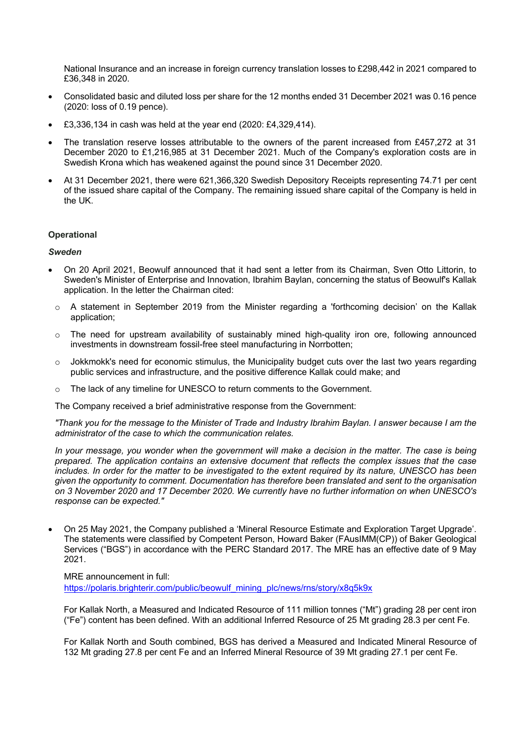National Insurance and an increase in foreign currency translation losses to £298,442 in 2021 compared to £36,348 in 2020.

- Consolidated basic and diluted loss per share for the 12 months ended 31 December 2021 was 0.16 pence (2020: loss of 0.19 pence).
- £3,336,134 in cash was held at the year end (2020: £4,329,414).
- The translation reserve losses attributable to the owners of the parent increased from £457,272 at 31 December 2020 to £1,216,985 at 31 December 2021. Much of the Company's exploration costs are in Swedish Krona which has weakened against the pound since 31 December 2020.
- At 31 December 2021, there were 621,366,320 Swedish Depository Receipts representing 74.71 per cent of the issued share capital of the Company. The remaining issued share capital of the Company is held in the UK.

## **Operational**

#### *Sweden*

- On 20 April 2021, Beowulf announced that it had sent a letter from its Chairman, Sven Otto Littorin, to Sweden's Minister of Enterprise and Innovation, Ibrahim Baylan, concerning the status of Beowulf's Kallak application. In the letter the Chairman cited:
- $\circ$  A statement in September 2019 from the Minister regarding a 'forthcoming decision' on the Kallak application;
- o The need for upstream availability of sustainably mined high-quality iron ore, following announced investments in downstream fossil-free steel manufacturing in Norrbotten;
- $\circ$  Jokkmokk's need for economic stimulus, the Municipality budget cuts over the last two years regarding public services and infrastructure, and the positive difference Kallak could make; and
- o The lack of any timeline for UNESCO to return comments to the Government.

The Company received a brief administrative response from the Government:

*"Thank you for the message to the Minister of Trade and Industry Ibrahim Baylan. I answer because I am the administrator of the case to which the communication relates.*

*In your message, you wonder when the government will make a decision in the matter. The case is being prepared. The application contains an extensive document that reflects the complex issues that the case includes. In order for the matter to be investigated to the extent required by its nature, UNESCO has been given the opportunity to comment. Documentation has therefore been translated and sent to the organisation on 3 November 2020 and 17 December 2020. We currently have no further information on when UNESCO's response can be expected."*

• On 25 May 2021, the Company published a 'Mineral Resource Estimate and Exploration Target Upgrade'. The statements were classified by Competent Person, Howard Baker (FAusIMM(CP)) of Baker Geological Services ("BGS") in accordance with the PERC Standard 2017. The MRE has an effective date of 9 May 2021.

MRE announcement in full:

https://polaris.brighterir.com/public/beowulf\_mining\_plc/news/rns/story/x8q5k9x

For Kallak North, a Measured and Indicated Resource of 111 million tonnes ("Mt") grading 28 per cent iron ("Fe") content has been defined. With an additional Inferred Resource of 25 Mt grading 28.3 per cent Fe.

For Kallak North and South combined, BGS has derived a Measured and Indicated Mineral Resource of 132 Mt grading 27.8 per cent Fe and an Inferred Mineral Resource of 39 Mt grading 27.1 per cent Fe.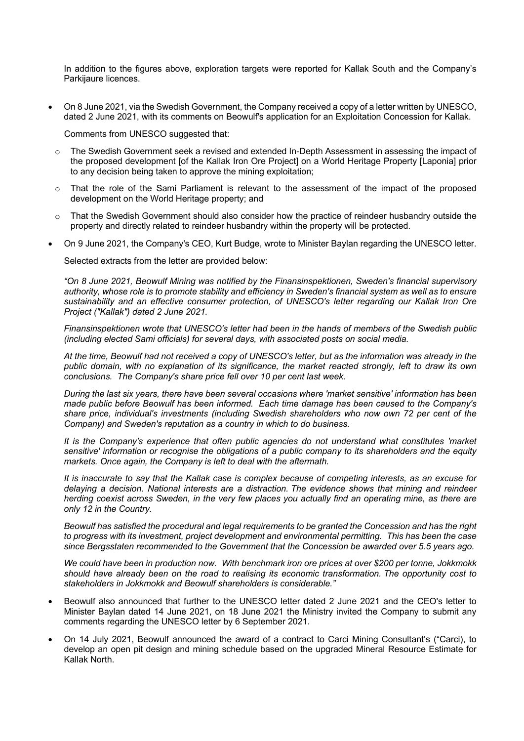In addition to the figures above, exploration targets were reported for Kallak South and the Company's Parkijaure licences.

• On 8 June 2021, via the Swedish Government, the Company received a copy of a letter written by UNESCO, dated 2 June 2021, with its comments on Beowulf's application for an Exploitation Concession for Kallak.

Comments from UNESCO suggested that:

- The Swedish Government seek a revised and extended In-Depth Assessment in assessing the impact of the proposed development [of the Kallak Iron Ore Project] on a World Heritage Property [Laponia] prior to any decision being taken to approve the mining exploitation;
- o That the role of the Sami Parliament is relevant to the assessment of the impact of the proposed development on the World Heritage property; and
- o That the Swedish Government should also consider how the practice of reindeer husbandry outside the property and directly related to reindeer husbandry within the property will be protected.
- On 9 June 2021, the Company's CEO, Kurt Budge, wrote to Minister Baylan regarding the UNESCO letter.

Selected extracts from the letter are provided below:

*"On 8 June 2021, Beowulf Mining was notified by the Finansinspektionen, Sweden's financial supervisory authority, whose role is to promote stability and efficiency in Sweden's financial system as well as to ensure sustainability and an effective consumer protection, of UNESCO's letter regarding our Kallak Iron Ore Project ("Kallak") dated 2 June 2021.*

*Finansinspektionen wrote that UNESCO's letter had been in the hands of members of the Swedish public (including elected Sami officials) for several days, with associated posts on social media.*

*At the time, Beowulf had not received a copy of UNESCO's letter, but as the information was already in the public domain, with no explanation of its significance, the market reacted strongly, left to draw its own conclusions. The Company's share price fell over 10 per cent last week.*

*During the last six years, there have been several occasions where 'market sensitive' information has been made public before Beowulf has been informed. Each time damage has been caused to the Company's share price, individual's investments (including Swedish shareholders who now own 72 per cent of the Company) and Sweden's reputation as a country in which to do business.*

*It is the Company's experience that often public agencies do not understand what constitutes 'market sensitive' information or recognise the obligations of a public company to its shareholders and the equity markets. Once again, the Company is left to deal with the aftermath.*

*It is inaccurate to say that the Kallak case is complex because of competing interests, as an excuse for delaying a decision. National interests are a distraction. The evidence shows that mining and reindeer herding coexist across Sweden, in the very few places you actually find an operating mine, as there are only 12 in the Country.*

*Beowulf has satisfied the procedural and legal requirements to be granted the Concession and has the right to progress with its investment, project development and environmental permitting. This has been the case since Bergsstaten recommended to the Government that the Concession be awarded over 5.5 years ago.*

*We could have been in production now. With benchmark iron ore prices at over \$200 per tonne, Jokkmokk should have already been on the road to realising its economic transformation. The opportunity cost to stakeholders in Jokkmokk and Beowulf shareholders is considerable."*

- Beowulf also announced that further to the UNESCO letter dated 2 June 2021 and the CEO's letter to Minister Baylan dated 14 June 2021, on 18 June 2021 the Ministry invited the Company to submit any comments regarding the UNESCO letter by 6 September 2021.
- On 14 July 2021, Beowulf announced the award of a contract to Carci Mining Consultant's ("Carci), to develop an open pit design and mining schedule based on the upgraded Mineral Resource Estimate for Kallak North.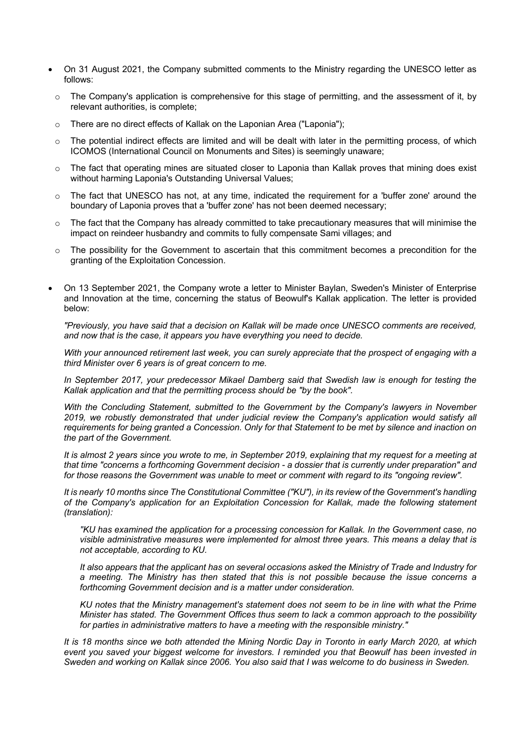- On 31 August 2021, the Company submitted comments to the Ministry regarding the UNESCO letter as follows:
	- $\circ$  The Company's application is comprehensive for this stage of permitting, and the assessment of it, by relevant authorities, is complete;
	- o There are no direct effects of Kallak on the Laponian Area ("Laponia");
- $\circ$  The potential indirect effects are limited and will be dealt with later in the permitting process, of which ICOMOS (International Council on Monuments and Sites) is seemingly unaware;
- o The fact that operating mines are situated closer to Laponia than Kallak proves that mining does exist without harming Laponia's Outstanding Universal Values;
- o The fact that UNESCO has not, at any time, indicated the requirement for a 'buffer zone' around the boundary of Laponia proves that a 'buffer zone' has not been deemed necessary;
- $\circ$  The fact that the Company has already committed to take precautionary measures that will minimise the impact on reindeer husbandry and commits to fully compensate Sami villages; and
- o The possibility for the Government to ascertain that this commitment becomes a precondition for the granting of the Exploitation Concession.
- On 13 September 2021, the Company wrote a letter to Minister Baylan, Sweden's Minister of Enterprise and Innovation at the time, concerning the status of Beowulf's Kallak application. The letter is provided below:

*"Previously, you have said that a decision on Kallak will be made once UNESCO comments are received, and now that is the case, it appears you have everything you need to decide.*

*With your announced retirement last week, you can surely appreciate that the prospect of engaging with a third Minister over 6 years is of great concern to me.*

*In September 2017, your predecessor Mikael Damberg said that Swedish law is enough for testing the Kallak application and that the permitting process should be "by the book".*

*With the Concluding Statement, submitted to the Government by the Company's lawyers in November 2019, we robustly demonstrated that under judicial review the Company's application would satisfy all requirements for being granted a Concession. Only for that Statement to be met by silence and inaction on the part of the Government.*

*It is almost 2 years since you wrote to me, in September 2019, explaining that my request for a meeting at that time "concerns a forthcoming Government decision - a dossier that is currently under preparation" and for those reasons the Government was unable to meet or comment with regard to its "ongoing review".*

*It is nearly 10 months since The Constitutional Committee ("KU"), in its review of the Government's handling of the Company's application for an Exploitation Concession for Kallak, made the following statement (translation):*

*"KU has examined the application for a processing concession for Kallak. In the Government case, no visible administrative measures were implemented for almost three years. This means a delay that is not acceptable, according to KU.*

*It also appears that the applicant has on several occasions asked the Ministry of Trade and Industry for a meeting. The Ministry has then stated that this is not possible because the issue concerns a forthcoming Government decision and is a matter under consideration.*

*KU notes that the Ministry management's statement does not seem to be in line with what the Prime Minister has stated. The Government Offices thus seem to lack a common approach to the possibility for parties in administrative matters to have a meeting with the responsible ministry."*

*It is 18 months since we both attended the Mining Nordic Day in Toronto in early March 2020, at which event you saved your biggest welcome for investors. I reminded you that Beowulf has been invested in Sweden and working on Kallak since 2006. You also said that I was welcome to do business in Sweden.*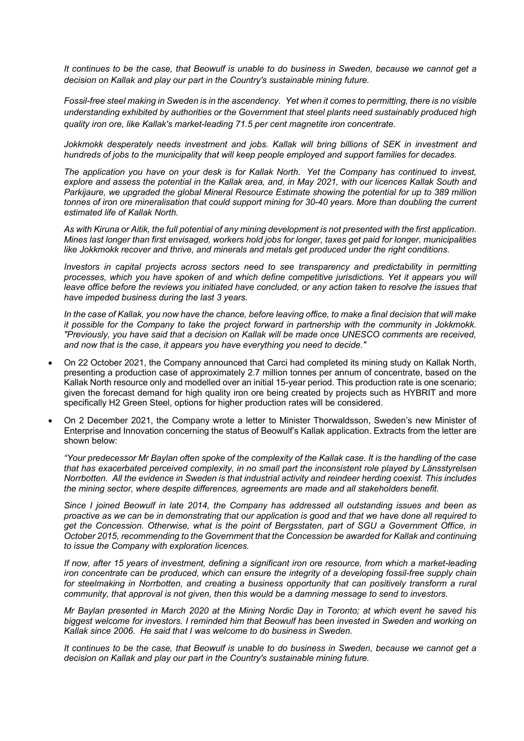*It continues to be the case, that Beowulf is unable to do business in Sweden, because we cannot get a decision on Kallak and play our part in the Country's sustainable mining future.*

*Fossil-free steel making in Sweden is in the ascendency. Yet when it comes to permitting, there is no visible understanding exhibited by authorities or the Government that steel plants need sustainably produced high quality iron ore, like Kallak's market-leading 71.5 per cent magnetite iron concentrate.*

Jokkmokk desperately needs investment and jobs. Kallak will bring billions of SEK in investment and *hundreds of jobs to the municipality that will keep people employed and support families for decades.*

*The application you have on your desk is for Kallak North. Yet the Company has continued to invest, explore and assess the potential in the Kallak area, and, in May 2021, with our licences Kallak South and Parkijaure, we upgraded the global Mineral Resource Estimate showing the potential for up to 389 million tonnes of iron ore mineralisation that could support mining for 30-40 years. More than doubling the current estimated life of Kallak North.*

*As with Kiruna or Aitik, the full potential of any mining development is not presented with the first application. Mines last longer than first envisaged, workers hold jobs for longer, taxes get paid for longer, municipalities like Jokkmokk recover and thrive, and minerals and metals get produced under the right conditions.*

*Investors in capital projects across sectors need to see transparency and predictability in permitting processes, which you have spoken of and which define competitive jurisdictions. Yet it appears you will leave office before the reviews you initiated have concluded, or any action taken to resolve the issues that have impeded business during the last 3 years.*

*In the case of Kallak, you now have the chance, before leaving office, to make a final decision that will make it possible for the Company to take the project forward in partnership with the community in Jokkmokk. "Previously, you have said that a decision on Kallak will be made once UNESCO comments are received, and now that is the case, it appears you have everything you need to decide."*

- On 22 October 2021, the Company announced that Carci had completed its mining study on Kallak North, presenting a production case of approximately 2.7 million tonnes per annum of concentrate, based on the Kallak North resource only and modelled over an initial 15-year period. This production rate is one scenario; given the forecast demand for high quality iron ore being created by projects such as HYBRIT and more specifically H2 Green Steel, options for higher production rates will be considered.
- On 2 December 2021, the Company wrote a letter to Minister Thorwaldsson, Sweden's new Minister of Enterprise and Innovation concerning the status of Beowulf's Kallak application. Extracts from the letter are shown below:

*"Your predecessor Mr Baylan often spoke of the complexity of the Kallak case. It is the handling of the case that has exacerbated perceived complexity, in no small part the inconsistent role played by Länsstyrelsen Norrbotten. All the evidence in Sweden is that industrial activity and reindeer herding coexist. This includes the mining sector, where despite differences, agreements are made and all stakeholders benefit.*

*Since I joined Beowulf in late 2014, the Company has addressed all outstanding issues and been as proactive as we can be in demonstrating that our application is good and that we have done all required to get the Concession. Otherwise, what is the point of Bergsstaten, part of SGU a Government Office, in October 2015, recommending to the Government that the Concession be awarded for Kallak and continuing to issue the Company with exploration licences.* 

*If now, after 15 years of investment, defining a significant iron ore resource, from which a market-leading iron concentrate can be produced, which can ensure the integrity of a developing fossil-free supply chain for steelmaking in Norrbotten, and creating a business opportunity that can positively transform a rural community, that approval is not given, then this would be a damning message to send to investors.*

*Mr Baylan presented in March 2020 at the Mining Nordic Day in Toronto; at which event he saved his biggest welcome for investors. I reminded him that Beowulf has been invested in Sweden and working on Kallak since 2006. He said that I was welcome to do business in Sweden.*

*It continues to be the case, that Beowulf is unable to do business in Sweden, because we cannot get a decision on Kallak and play our part in the Country's sustainable mining future.*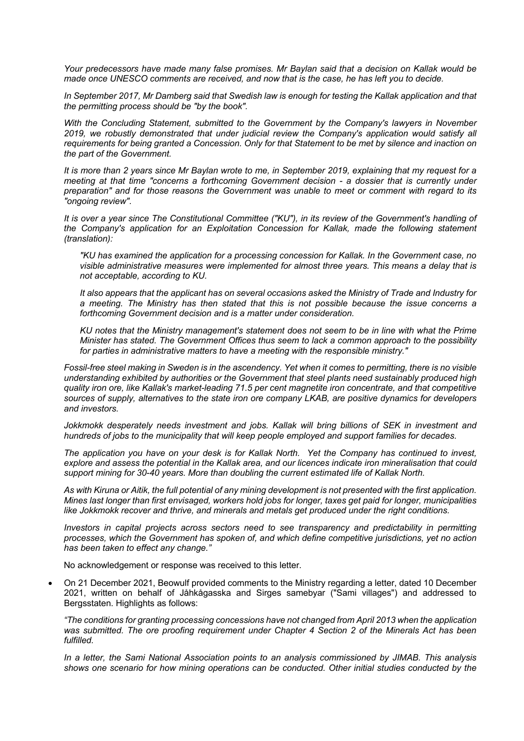*Your predecessors have made many false promises. Mr Baylan said that a decision on Kallak would be made once UNESCO comments are received, and now that is the case, he has left you to decide.*

*In September 2017, Mr Damberg said that Swedish law is enough for testing the Kallak application and that the permitting process should be "by the book".* 

*With the Concluding Statement, submitted to the Government by the Company's lawyers in November 2019, we robustly demonstrated that under judicial review the Company's application would satisfy all requirements for being granted a Concession. Only for that Statement to be met by silence and inaction on the part of the Government.*

*It is more than 2 years since Mr Baylan wrote to me, in September 2019, explaining that my request for a meeting at that time "concerns a forthcoming Government decision - a dossier that is currently under preparation" and for those reasons the Government was unable to meet or comment with regard to its "ongoing review".*

*It is over a year since The Constitutional Committee ("KU"), in its review of the Government's handling of the Company's application for an Exploitation Concession for Kallak, made the following statement (translation):*

*"KU has examined the application for a processing concession for Kallak. In the Government case, no visible administrative measures were implemented for almost three years. This means a delay that is not acceptable, according to KU.*

*It also appears that the applicant has on several occasions asked the Ministry of Trade and Industry for a meeting. The Ministry has then stated that this is not possible because the issue concerns a forthcoming Government decision and is a matter under consideration.*

*KU notes that the Ministry management's statement does not seem to be in line with what the Prime Minister has stated. The Government Offices thus seem to lack a common approach to the possibility for parties in administrative matters to have a meeting with the responsible ministry."*

*Fossil-free steel making in Sweden is in the ascendency. Yet when it comes to permitting, there is no visible understanding exhibited by authorities or the Government that steel plants need sustainably produced high quality iron ore, like Kallak's market-leading 71.5 per cent magnetite iron concentrate, and that competitive sources of supply, alternatives to the state iron ore company LKAB, are positive dynamics for developers and investors.*

Jokkmokk desperately needs investment and jobs. Kallak will bring billions of SEK in investment and *hundreds of jobs to the municipality that will keep people employed and support families for decades.*

*The application you have on your desk is for Kallak North. Yet the Company has continued to invest, explore and assess the potential in the Kallak area, and our licences indicate iron mineralisation that could support mining for 30-40 years. More than doubling the current estimated life of Kallak North.*

*As with Kiruna or Aitik, the full potential of any mining development is not presented with the first application. Mines last longer than first envisaged, workers hold jobs for longer, taxes get paid for longer, municipalities like Jokkmokk recover and thrive, and minerals and metals get produced under the right conditions.*

*Investors in capital projects across sectors need to see transparency and predictability in permitting processes, which the Government has spoken of, and which define competitive jurisdictions, yet no action has been taken to effect any change."*

No acknowledgement or response was received to this letter.

• On 21 December 2021, Beowulf provided comments to the Ministry regarding a letter, dated 10 December 2021, written on behalf of Jåhkågasska and Sirges samebyar ("Sami villages") and addressed to Bergsstaten. Highlights as follows:

*"The conditions for granting processing concessions have not changed from April 2013 when the application was submitted. The ore proofing requirement under Chapter 4 Section 2 of the Minerals Act has been fulfilled.*

*In a letter, the Sami National Association points to an analysis commissioned by JIMAB. This analysis shows one scenario for how mining operations can be conducted. Other initial studies conducted by the*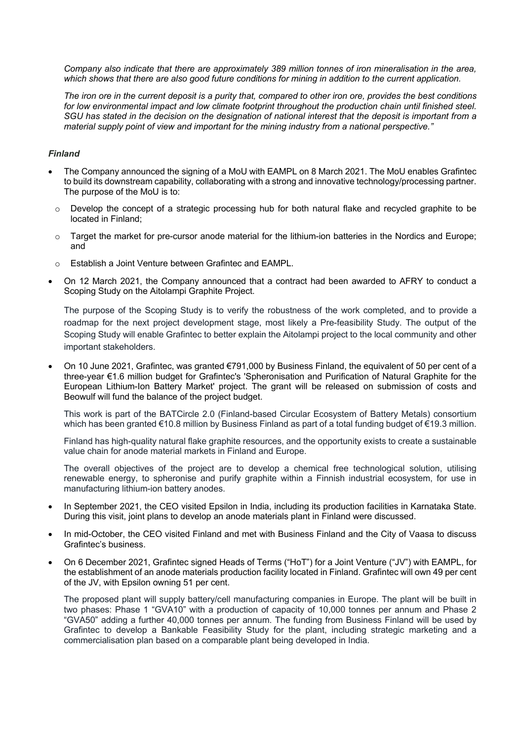*Company also indicate that there are approximately 389 million tonnes of iron mineralisation in the area,*  which shows that there are also good future conditions for mining in addition to the current application.

*The iron ore in the current deposit is a purity that, compared to other iron ore, provides the best conditions*  for low environmental impact and low climate footprint throughout the production chain until finished steel. *SGU has stated in the decision on the designation of national interest that the deposit is important from a material supply point of view and important for the mining industry from a national perspective."*

## *Finland*

- The Company announced the signing of a MoU with EAMPL on 8 March 2021. The MoU enables Grafintec to build its downstream capability, collaborating with a strong and innovative technology/processing partner. The purpose of the MoU is to:
- $\circ$  Develop the concept of a strategic processing hub for both natural flake and recycled graphite to be located in Finland;
- o Target the market for pre-cursor anode material for the lithium-ion batteries in the Nordics and Europe; and
- o Establish a Joint Venture between Grafintec and EAMPL.
- On 12 March 2021, the Company announced that a contract had been awarded to AFRY to conduct a Scoping Study on the Aitolampi Graphite Project.

The purpose of the Scoping Study is to verify the robustness of the work completed, and to provide a roadmap for the next project development stage, most likely a Pre-feasibility Study. The output of the Scoping Study will enable Grafintec to better explain the Aitolampi project to the local community and other important stakeholders.

• On 10 June 2021, Grafintec, was granted €791,000 by Business Finland, the equivalent of 50 per cent of a three-year €1.6 million budget for Grafintec's 'Spheronisation and Purification of Natural Graphite for the European Lithium-Ion Battery Market' project. The grant will be released on submission of costs and Beowulf will fund the balance of the project budget.

This work is part of the BATCircle 2.0 (Finland-based Circular Ecosystem of Battery Metals) consortium which has been granted €10.8 million by Business Finland as part of a total funding budget of €19.3 million.

Finland has high-quality natural flake graphite resources, and the opportunity exists to create a sustainable value chain for anode material markets in Finland and Europe.

The overall objectives of the project are to develop a chemical free technological solution, utilising renewable energy, to spheronise and purify graphite within a Finnish industrial ecosystem, for use in manufacturing lithium-ion battery anodes.

- In September 2021, the CEO visited Epsilon in India, including its production facilities in Karnataka State. During this visit, joint plans to develop an anode materials plant in Finland were discussed.
- In mid-October, the CEO visited Finland and met with Business Finland and the City of Vaasa to discuss Grafintec's business.
- On 6 December 2021, Grafintec signed Heads of Terms ("HoT") for a Joint Venture ("JV") with EAMPL, for the establishment of an anode materials production facility located in Finland. Grafintec will own 49 per cent of the JV, with Epsilon owning 51 per cent.

The proposed plant will supply battery/cell manufacturing companies in Europe. The plant will be built in two phases: Phase 1 "GVA10" with a production of capacity of 10,000 tonnes per annum and Phase 2 "GVA50" adding a further 40,000 tonnes per annum. The funding from Business Finland will be used by Grafintec to develop a Bankable Feasibility Study for the plant, including strategic marketing and a commercialisation plan based on a comparable plant being developed in India.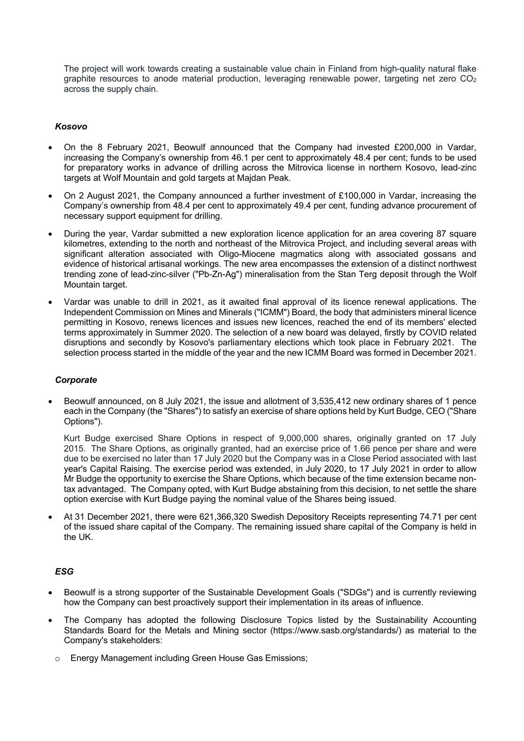The project will work towards creating a sustainable value chain in Finland from high-quality natural flake graphite resources to anode material production, leveraging renewable power, targeting net zero  $CO<sub>2</sub>$ across the supply chain.

## *Kosovo*

- On the 8 February 2021, Beowulf announced that the Company had invested £200,000 in Vardar, increasing the Company's ownership from 46.1 per cent to approximately 48.4 per cent; funds to be used for preparatory works in advance of drilling across the Mitrovica license in northern Kosovo, lead-zinc targets at Wolf Mountain and gold targets at Majdan Peak.
- On 2 August 2021, the Company announced a further investment of £100,000 in Vardar, increasing the Company's ownership from 48.4 per cent to approximately 49.4 per cent, funding advance procurement of necessary support equipment for drilling.
- During the year, Vardar submitted a new exploration licence application for an area covering 87 square kilometres, extending to the north and northeast of the Mitrovica Project, and including several areas with significant alteration associated with Oligo-Miocene magmatics along with associated gossans and evidence of historical artisanal workings. The new area encompasses the extension of a distinct northwest trending zone of lead-zinc-silver ("Pb-Zn-Ag") mineralisation from the Stan Terg deposit through the Wolf Mountain target.
- Vardar was unable to drill in 2021, as it awaited final approval of its licence renewal applications. The Independent Commission on Mines and Minerals ("ICMM") Board, the body that administers mineral licence permitting in Kosovo, renews licences and issues new licences, reached the end of its members' elected terms approximately in Summer 2020. The selection of a new board was delayed, firstly by COVID related disruptions and secondly by Kosovo's parliamentary elections which took place in February 2021. The selection process started in the middle of the year and the new ICMM Board was formed in December 2021.

#### *Corporate*

• Beowulf announced, on 8 July 2021, the issue and allotment of 3,535,412 new ordinary shares of 1 pence each in the Company (the "Shares") to satisfy an exercise of share options held by Kurt Budge, CEO ("Share Options").

Kurt Budge exercised Share Options in respect of 9,000,000 shares, originally granted on 17 July 2015. The Share Options, as originally granted, had an exercise price of 1.66 pence per share and were due to be exercised no later than 17 July 2020 but the Company was in a Close Period associated with last year's Capital Raising. The exercise period was extended, in July 2020, to 17 July 2021 in order to allow Mr Budge the opportunity to exercise the Share Options, which because of the time extension became nontax advantaged. The Company opted, with Kurt Budge abstaining from this decision, to net settle the share option exercise with Kurt Budge paying the nominal value of the Shares being issued.

• At 31 December 2021, there were 621,366,320 Swedish Depository Receipts representing 74.71 per cent of the issued share capital of the Company. The remaining issued share capital of the Company is held in the UK.

#### *ESG*

- Beowulf is a strong supporter of the Sustainable Development Goals ("SDGs") and is currently reviewing how the Company can best proactively support their implementation in its areas of influence.
- The Company has adopted the following Disclosure Topics listed by the Sustainability Accounting Standards Board for the Metals and Mining sector (https://www.sasb.org/standards/) as material to the Company's stakeholders:
	- o Energy Management including Green House Gas Emissions;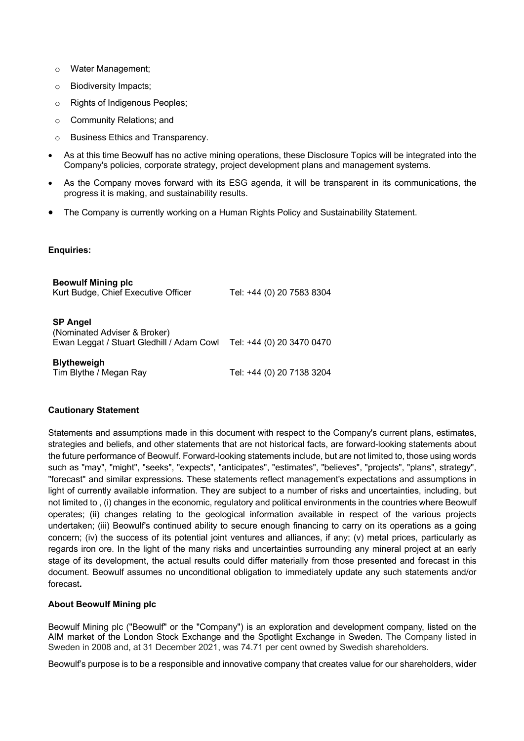- o Water Management;
- o Biodiversity Impacts;
- o Rights of Indigenous Peoples;
- o Community Relations; and
- o Business Ethics and Transparency.
- As at this time Beowulf has no active mining operations, these Disclosure Topics will be integrated into the Company's policies, corporate strategy, project development plans and management systems.
- As the Company moves forward with its ESG agenda, it will be transparent in its communications, the progress it is making, and sustainability results.
- The Company is currently working on a Human Rights Policy and Sustainability Statement.

## **Enquiries:**

| <b>Beowulf Mining plc</b><br>Kurt Budge, Chief Executive Officer                             | Tel: +44 (0) 20 7583 8304 |
|----------------------------------------------------------------------------------------------|---------------------------|
| <b>SP Angel</b><br>(Nominated Adviser & Broker)<br>Ewan Leggat / Stuart Gledhill / Adam Cowl | Tel: +44 (0) 20 3470 0470 |
| <b>Blytheweigh</b><br>Tim Blythe / Megan Ray                                                 | Tel: +44 (0) 20 7138 3204 |

## **Cautionary Statement**

Statements and assumptions made in this document with respect to the Company's current plans, estimates, strategies and beliefs, and other statements that are not historical facts, are forward-looking statements about the future performance of Beowulf. Forward-looking statements include, but are not limited to, those using words such as "may", "might", "seeks", "expects", "anticipates", "estimates", "believes", "projects", "plans", strategy", "forecast" and similar expressions. These statements reflect management's expectations and assumptions in light of currently available information. They are subject to a number of risks and uncertainties, including, but not limited to , (i) changes in the economic, regulatory and political environments in the countries where Beowulf operates; (ii) changes relating to the geological information available in respect of the various projects undertaken; (iii) Beowulf's continued ability to secure enough financing to carry on its operations as a going concern; (iv) the success of its potential joint ventures and alliances, if any; (v) metal prices, particularly as regards iron ore. In the light of the many risks and uncertainties surrounding any mineral project at an early stage of its development, the actual results could differ materially from those presented and forecast in this document. Beowulf assumes no unconditional obligation to immediately update any such statements and/or forecast**.**

#### **About Beowulf Mining plc**

Beowulf Mining plc ("Beowulf" or the "Company") is an exploration and development company, listed on the AIM market of the London Stock Exchange and the Spotlight Exchange in Sweden. The Company listed in Sweden in 2008 and, at 31 December 2021, was 74.71 per cent owned by Swedish shareholders.

Beowulf's purpose is to be a responsible and innovative company that creates value for our shareholders, wider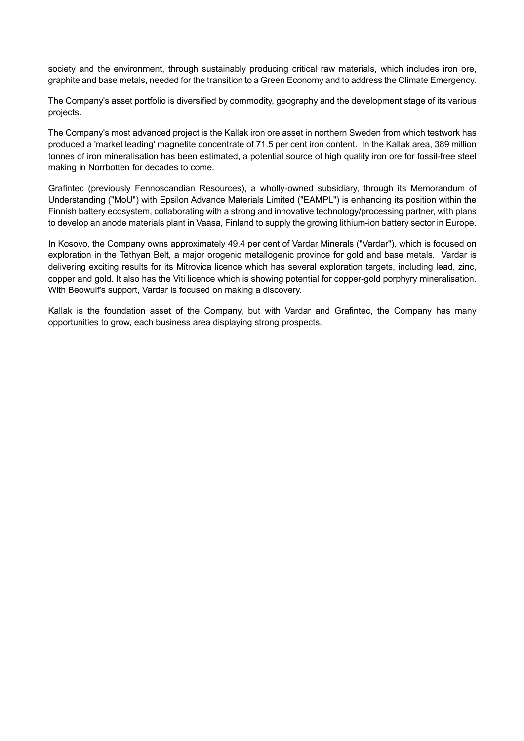society and the environment, through sustainably producing critical raw materials, which includes iron ore, graphite and base metals, needed for the transition to a Green Economy and to address the Climate Emergency.

The Company's asset portfolio is diversified by commodity, geography and the development stage of its various projects.

The Company's most advanced project is the Kallak iron ore asset in northern Sweden from which testwork has produced a 'market leading' magnetite concentrate of 71.5 per cent iron content. In the Kallak area, 389 million tonnes of iron mineralisation has been estimated, a potential source of high quality iron ore for fossil-free steel making in Norrbotten for decades to come.

Grafintec (previously Fennoscandian Resources), a wholly-owned subsidiary, through its Memorandum of Understanding ("MoU") with Epsilon Advance Materials Limited ("EAMPL") is enhancing its position within the Finnish battery ecosystem, collaborating with a strong and innovative technology/processing partner, with plans to develop an anode materials plant in Vaasa, Finland to supply the growing lithium-ion battery sector in Europe.

In Kosovo, the Company owns approximately 49.4 per cent of Vardar Minerals ("Vardar"), which is focused on exploration in the Tethyan Belt, a major orogenic metallogenic province for gold and base metals. Vardar is delivering exciting results for its Mitrovica licence which has several exploration targets, including lead, zinc, copper and gold. It also has the Viti licence which is showing potential for copper-gold porphyry mineralisation. With Beowulf's support, Vardar is focused on making a discovery.

Kallak is the foundation asset of the Company, but with Vardar and Grafintec, the Company has many opportunities to grow, each business area displaying strong prospects.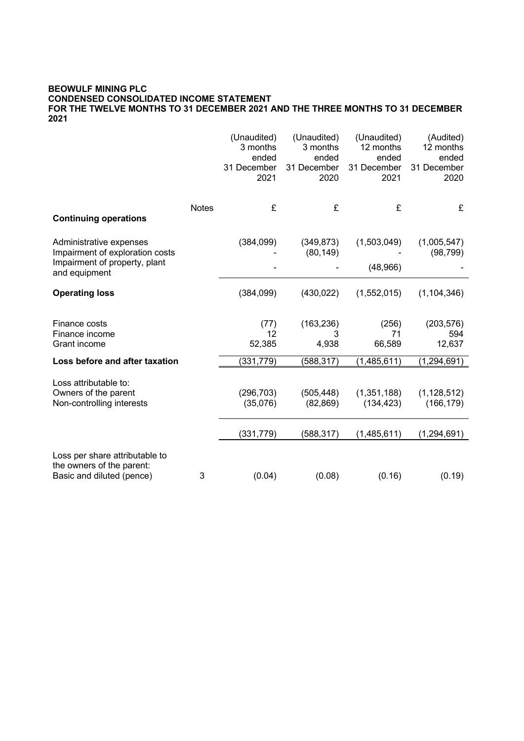## **BEOWULF MINING PLC CONDENSED CONSOLIDATED INCOME STATEMENT FOR THE TWELVE MONTHS TO 31 DECEMBER 2021 AND THE THREE MONTHS TO 31 DECEMBER 2021**

|                                                                                          |              | (Unaudited)<br>3 months<br>ended<br>31 December | (Unaudited)<br>3 months<br>ended<br>31 December | (Unaudited)<br>12 months<br>ended<br>31 December | (Audited)<br>12 months<br>ended<br>31 December |
|------------------------------------------------------------------------------------------|--------------|-------------------------------------------------|-------------------------------------------------|--------------------------------------------------|------------------------------------------------|
|                                                                                          |              | 2021                                            | 2020                                            | 2021                                             | 2020                                           |
|                                                                                          | <b>Notes</b> | £                                               | £                                               | £                                                | £                                              |
| <b>Continuing operations</b>                                                             |              |                                                 |                                                 |                                                  |                                                |
| Administrative expenses<br>Impairment of exploration costs                               |              | (384, 099)                                      | (349, 873)<br>(80, 149)                         | (1,503,049)                                      | (1,005,547)<br>(98, 799)                       |
| Impairment of property, plant<br>and equipment                                           |              |                                                 |                                                 | (48, 966)                                        |                                                |
| <b>Operating loss</b>                                                                    |              | (384,099)                                       | (430, 022)                                      | (1,552,015)                                      | (1, 104, 346)                                  |
| Finance costs<br>Finance income                                                          |              | (77)<br>12                                      | (163, 236)<br>3                                 | (256)<br>71                                      | (203, 576)<br>594                              |
| Grant income                                                                             |              | 52,385                                          | 4,938                                           | 66,589                                           | 12,637                                         |
| Loss before and after taxation                                                           |              | (331, 779)                                      | (588, 317)                                      | (1,485,611)                                      | (1, 294, 691)                                  |
| Loss attributable to:<br>Owners of the parent<br>Non-controlling interests               |              | (296, 703)<br>(35,076)                          | (505, 448)<br>(82, 869)                         | (1,351,188)<br>(134, 423)                        | (1, 128, 512)<br>(166, 179)                    |
|                                                                                          |              | (331, 779)                                      | (588, 317)                                      | (1,485,611)                                      | (1, 294, 691)                                  |
| Loss per share attributable to<br>the owners of the parent:<br>Basic and diluted (pence) | 3            | (0.04)                                          | (0.08)                                          | (0.16)                                           | (0.19)                                         |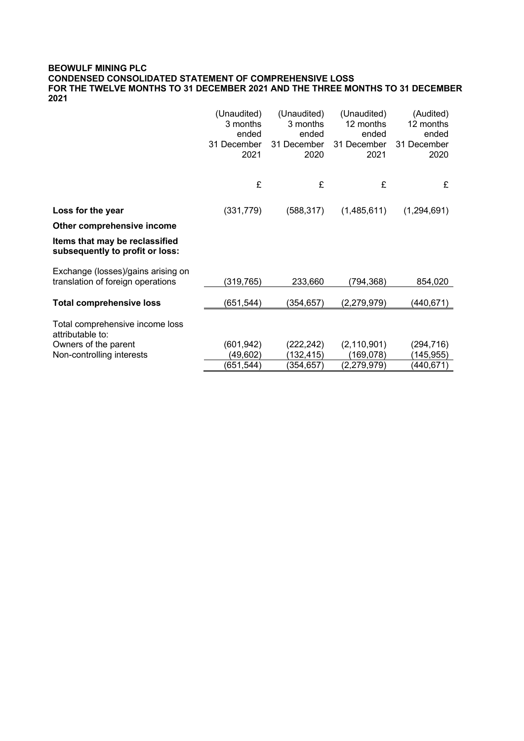## **BEOWULF MINING PLC CONDENSED CONSOLIDATED STATEMENT OF COMPREHENSIVE LOSS FOR THE TWELVE MONTHS TO 31 DECEMBER 2021 AND THE THREE MONTHS TO 31 DECEMBER 2021**

|                                                                         | (Unaudited)<br>3 months<br>ended<br>31 December<br>2021 | (Unaudited)<br>3 months<br>ended<br>31 December<br>2020 | (Unaudited)<br>12 months<br>ended<br>31 December<br>2021 | (Audited)<br>12 months<br>ended<br>31 December<br>2020 |
|-------------------------------------------------------------------------|---------------------------------------------------------|---------------------------------------------------------|----------------------------------------------------------|--------------------------------------------------------|
|                                                                         | £                                                       | £                                                       | £                                                        | £                                                      |
| Loss for the year                                                       | (331, 779)                                              | (588, 317)                                              | (1,485,611)                                              | (1,294,691)                                            |
| Other comprehensive income                                              |                                                         |                                                         |                                                          |                                                        |
| Items that may be reclassified<br>subsequently to profit or loss:       |                                                         |                                                         |                                                          |                                                        |
| Exchange (losses)/gains arising on<br>translation of foreign operations | (319, 765)                                              | 233,660                                                 | (794,368)                                                | 854,020                                                |
| <b>Total comprehensive loss</b>                                         | (651, 544)                                              | (354,657)                                               | (2, 279, 979)                                            | (440, 671)                                             |
| Total comprehensive income loss<br>attributable to:                     |                                                         |                                                         |                                                          |                                                        |
| Owners of the parent                                                    | (601, 942)                                              | (222, 242)                                              | (2, 110, 901)                                            | (294,716)                                              |
| Non-controlling interests                                               | (49,602)                                                | (132, 415)                                              | (169,078)                                                | (145,955)                                              |
|                                                                         | (651, 544)                                              | (354,657)                                               | (2, 279, 979)                                            | (440,671)                                              |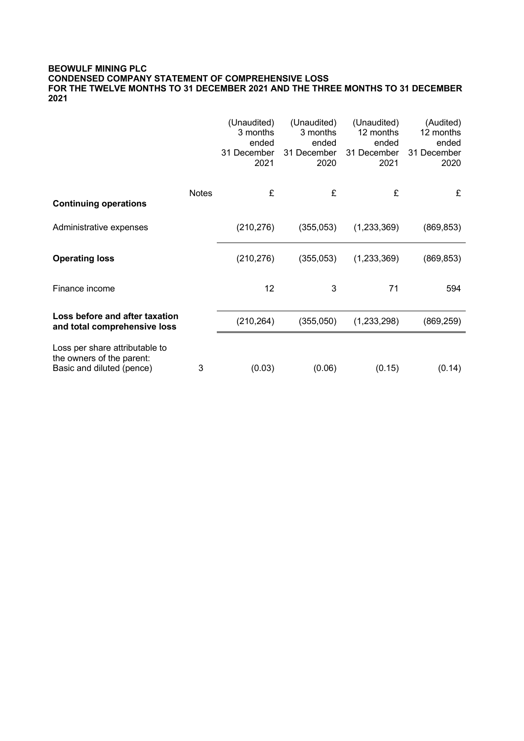## **BEOWULF MINING PLC CONDENSED COMPANY STATEMENT OF COMPREHENSIVE LOSS FOR THE TWELVE MONTHS TO 31 DECEMBER 2021 AND THE THREE MONTHS TO 31 DECEMBER 2021**

|                                                                                          |              | (Unaudited)<br>3 months<br>ended<br>31 December<br>2021 | (Unaudited)<br>3 months<br>ended<br>31 December<br>2020 | (Unaudited)<br>12 months<br>ended<br>31 December<br>2021 | (Audited)<br>12 months<br>ended<br>31 December<br>2020 |
|------------------------------------------------------------------------------------------|--------------|---------------------------------------------------------|---------------------------------------------------------|----------------------------------------------------------|--------------------------------------------------------|
| <b>Continuing operations</b>                                                             | <b>Notes</b> | £                                                       | £                                                       | £                                                        | £                                                      |
| Administrative expenses                                                                  |              | (210, 276)                                              | (355,053)                                               | (1,233,369)                                              | (869, 853)                                             |
| <b>Operating loss</b>                                                                    |              | (210, 276)                                              | (355,053)                                               | (1,233,369)                                              | (869, 853)                                             |
| Finance income                                                                           |              | 12                                                      | 3                                                       | 71                                                       | 594                                                    |
| Loss before and after taxation<br>and total comprehensive loss                           |              | (210, 264)                                              | (355,050)                                               | (1,233,298)                                              | (869,259)                                              |
| Loss per share attributable to<br>the owners of the parent:<br>Basic and diluted (pence) | 3            | (0.03)                                                  | (0.06)                                                  | (0.15)                                                   | (0.14)                                                 |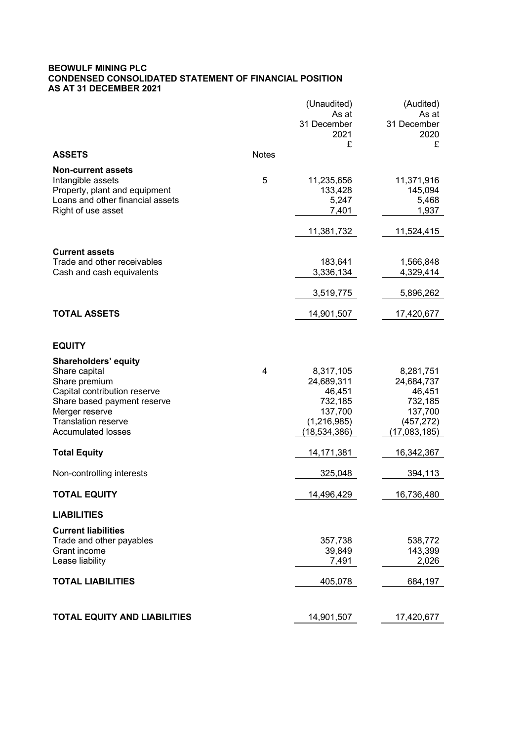## **BEOWULF MINING PLC CONDENSED CONSOLIDATED STATEMENT OF FINANCIAL POSITION AS AT 31 DECEMBER 2021**

|                                                         |              | (Unaudited)<br>As at          | (Audited)<br>As at         |
|---------------------------------------------------------|--------------|-------------------------------|----------------------------|
|                                                         |              | 31 December<br>2021           | 31 December<br>2020        |
|                                                         |              | £                             | £                          |
| <b>ASSETS</b>                                           | <b>Notes</b> |                               |                            |
| <b>Non-current assets</b>                               |              |                               |                            |
| Intangible assets                                       | 5            | 11,235,656                    | 11,371,916                 |
| Property, plant and equipment                           |              | 133,428                       | 145,094                    |
| Loans and other financial assets                        |              | 5,247                         | 5,468                      |
| Right of use asset                                      |              | 7,401                         | 1,937                      |
|                                                         |              | 11,381,732                    | 11,524,415                 |
| <b>Current assets</b>                                   |              |                               |                            |
| Trade and other receivables                             |              | 183,641                       | 1,566,848                  |
| Cash and cash equivalents                               |              | 3,336,134                     | 4,329,414                  |
|                                                         |              |                               |                            |
|                                                         |              | 3,519,775                     | 5,896,262                  |
| <b>TOTAL ASSETS</b>                                     |              | 14,901,507                    | 17,420,677                 |
|                                                         |              |                               |                            |
| <b>EQUITY</b>                                           |              |                               |                            |
| <b>Shareholders' equity</b>                             |              |                               |                            |
| Share capital                                           | 4            | 8,317,105                     | 8,281,751                  |
| Share premium                                           |              | 24,689,311                    | 24,684,737                 |
| Capital contribution reserve                            |              | 46,451                        | 46,451                     |
| Share based payment reserve                             |              | 732,185                       | 732,185                    |
| Merger reserve                                          |              | 137,700                       | 137,700                    |
| <b>Translation reserve</b><br><b>Accumulated losses</b> |              | (1, 216, 985)<br>(18,534,386) | (457, 272)<br>(17,083,185) |
|                                                         |              |                               |                            |
| <b>Total Equity</b>                                     |              | 14,171,381                    | 16,342,367                 |
| Non-controlling interests                               |              | 325,048                       | 394,113                    |
| <b>TOTAL EQUITY</b>                                     |              | 14,496,429                    | 16,736,480                 |
| <b>LIABILITIES</b>                                      |              |                               |                            |
| <b>Current liabilities</b>                              |              |                               |                            |
| Trade and other payables                                |              | 357,738                       | 538,772                    |
| Grant income                                            |              | 39,849                        | 143,399                    |
| Lease liability                                         |              | 7,491                         | 2,026                      |
| <b>TOTAL LIABILITIES</b>                                |              | 405,078                       | 684,197                    |
|                                                         |              |                               |                            |
| <b>TOTAL EQUITY AND LIABILITIES</b>                     |              | 14,901,507                    | 17,420,677                 |
|                                                         |              |                               |                            |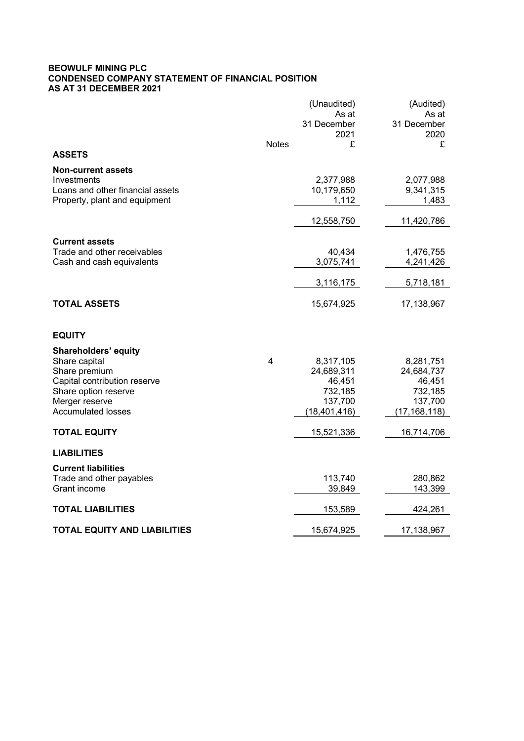## **BEOWULF MINING PLC CONDENSED COMPANY STATEMENT OF FINANCIAL POSITION AS AT 31 DECEMBER 2021**

|                                                      |                         | (Unaudited)    | (Audited)      |
|------------------------------------------------------|-------------------------|----------------|----------------|
|                                                      |                         | As at          | As at          |
|                                                      |                         | 31 December    | 31 December    |
|                                                      |                         | 2021           | 2020           |
| <b>ASSETS</b>                                        | <b>Notes</b>            | £              | £              |
| <b>Non-current assets</b>                            |                         |                |                |
| Investments                                          |                         | 2,377,988      | 2,077,988      |
| Loans and other financial assets                     |                         | 10,179,650     | 9,341,315      |
| Property, plant and equipment                        |                         | 1,112          | 1,483          |
|                                                      |                         |                |                |
|                                                      |                         | 12,558,750     | 11,420,786     |
|                                                      |                         |                |                |
| <b>Current assets</b><br>Trade and other receivables |                         | 40,434         | 1,476,755      |
| Cash and cash equivalents                            |                         | 3,075,741      | 4,241,426      |
|                                                      |                         |                |                |
|                                                      |                         | 3,116,175      | 5,718,181      |
|                                                      |                         |                |                |
| <b>TOTAL ASSETS</b>                                  |                         | 15,674,925     | 17,138,967     |
|                                                      |                         |                |                |
|                                                      |                         |                |                |
| <b>EQUITY</b>                                        |                         |                |                |
| <b>Shareholders' equity</b>                          |                         |                |                |
| Share capital                                        | $\overline{\mathbf{4}}$ | 8,317,105      | 8,281,751      |
| Share premium                                        |                         | 24,689,311     | 24,684,737     |
| Capital contribution reserve                         |                         | 46,451         | 46,451         |
| Share option reserve                                 |                         | 732,185        | 732,185        |
| Merger reserve                                       |                         | 137,700        | 137,700        |
| <b>Accumulated losses</b>                            |                         | (18, 401, 416) | (17, 168, 118) |
| <b>TOTAL EQUITY</b>                                  |                         | 15,521,336     | 16,714,706     |
|                                                      |                         |                |                |
| <b>LIABILITIES</b>                                   |                         |                |                |
| <b>Current liabilities</b>                           |                         |                |                |
| Trade and other payables                             |                         | 113,740        | 280,862        |
| Grant income                                         |                         | 39,849         | 143,399        |
|                                                      |                         |                |                |
| <b>TOTAL LIABILITIES</b>                             |                         | 153,589        | 424,261        |
| <b>TOTAL EQUITY AND LIABILITIES</b>                  |                         | 15,674,925     | 17,138,967     |
|                                                      |                         |                |                |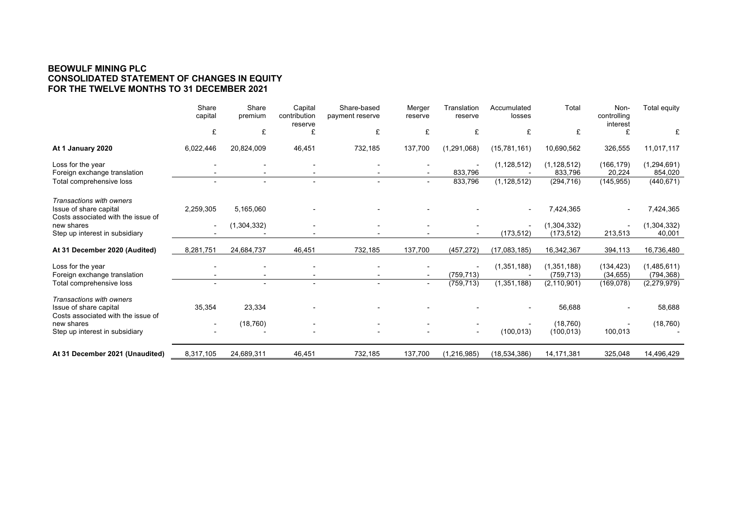## **BEOWULF MINING PLC CONSOLIDATED STATEMENT OF CHANGES IN EQUITY FOR THE TWELVE MONTHS TO 31 DECEMBER 2021**

|                                                                                          | Share<br>capital         | Share<br>premium | Capital<br>contribution<br>reserve | Share-based<br>payment reserve | Merger<br>reserve        | Translation<br>reserve   | Accumulated<br>losses | Total                     | Non-<br>controlling<br>interest | Total equity              |
|------------------------------------------------------------------------------------------|--------------------------|------------------|------------------------------------|--------------------------------|--------------------------|--------------------------|-----------------------|---------------------------|---------------------------------|---------------------------|
|                                                                                          | £                        | £                | £                                  | £                              | £                        | £                        | £                     | £                         |                                 | £                         |
| At 1 January 2020                                                                        | 6,022,446                | 20,824,009       | 46,451                             | 732,185                        | 137,700                  | (1,291,068)              | (15,781,161)          | 10,690,562                | 326,555                         | 11,017,117                |
| Loss for the year<br>Foreign exchange translation                                        |                          |                  |                                    |                                | $\overline{\phantom{a}}$ | 833,796                  | (1, 128, 512)         | (1, 128, 512)<br>833,796  | (166, 179)<br>20,224            | (1,294,691)<br>854,020    |
| Total comprehensive loss                                                                 |                          |                  |                                    |                                | $\sim$                   | 833,796                  | (1, 128, 512)         | (294, 716)                | (145, 955)                      | (440, 671)                |
| Transactions with owners<br>Issue of share capital<br>Costs associated with the issue of | 2,259,305                | 5,165,060        |                                    |                                |                          |                          |                       | 7,424,365                 |                                 | 7,424,365                 |
| new shares<br>Step up interest in subsidiary                                             | $\overline{\phantom{a}}$ | (1,304,332)      |                                    |                                |                          |                          | (173, 512)            | (1,304,332)<br>(173, 512) | 213,513                         | (1,304,332)<br>40,001     |
| At 31 December 2020 (Audited)                                                            | 8,281,751                | 24,684,737       | 46,451                             | 732,185                        | 137,700                  | (457, 272)               | (17,083,185)          | 16,342,367                | 394,113                         | 16,736,480                |
| Loss for the year<br>Foreign exchange translation                                        |                          |                  |                                    |                                |                          | (759, 713)               | (1,351,188)           | (1,351,188)<br>(759, 713) | (134, 423)<br>(34, 655)         | (1,485,611)<br>(794, 368) |
| Total comprehensive loss                                                                 |                          |                  |                                    |                                | $\overline{\phantom{a}}$ | (759, 713)               | (1,351,188)           | (2, 110, 901)             | (169,078)                       | (2,279,979)               |
| Transactions with owners<br>Issue of share capital                                       | 35,354                   | 23,334           |                                    |                                |                          |                          |                       | 56,688                    |                                 | 58,688                    |
| Costs associated with the issue of<br>new shares                                         |                          | (18, 760)        |                                    |                                |                          |                          |                       | (18, 760)                 |                                 | (18, 760)                 |
| Step up interest in subsidiary                                                           |                          |                  |                                    |                                |                          | $\overline{\phantom{a}}$ | (100, 013)            | (100, 013)                | 100,013                         |                           |
| At 31 December 2021 (Unaudited)                                                          | 8,317,105                | 24,689,311       | 46,451                             | 732,185                        | 137,700                  | (1, 216, 985)            | (18, 534, 386)        | 14,171,381                | 325,048                         | 14,496,429                |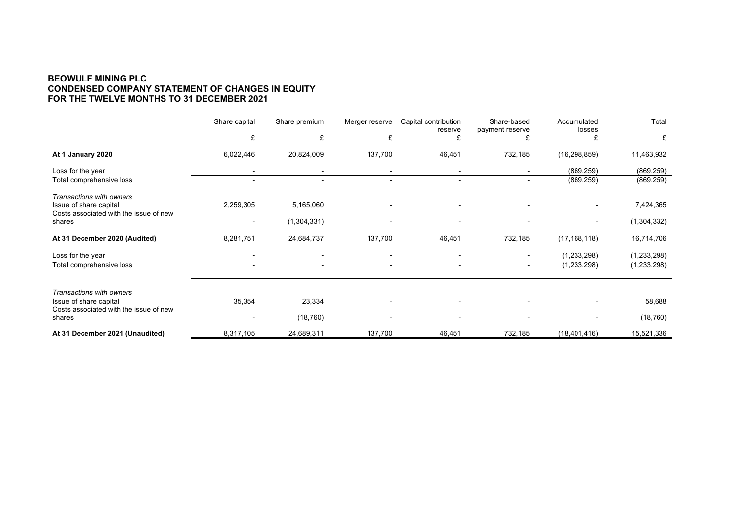#### **BEOWULF MINING PLC CONDENSED COMPANY STATEMENT OF CHANGES IN EQUITY FOR THE TWELVE MONTHS TO 31 DECEMBER 2021**

|                                                                  | Share capital            | Share premium            | Merger reserve | Capital contribution<br>reserve | Share-based<br>payment reserve | Accumulated<br>losses | Total         |
|------------------------------------------------------------------|--------------------------|--------------------------|----------------|---------------------------------|--------------------------------|-----------------------|---------------|
|                                                                  | £                        | £                        | £              |                                 |                                |                       | £             |
| At 1 January 2020                                                | 6,022,446                | 20,824,009               | 137,700        | 46,451                          | 732,185                        | (16, 298, 859)        | 11,463,932    |
| Loss for the year                                                | $\overline{\phantom{a}}$ |                          | ۰              | $\overline{\phantom{a}}$        | $\overline{\phantom{a}}$       | (869, 259)            | (869, 259)    |
| Total comprehensive loss                                         | $\overline{\phantom{0}}$ |                          |                |                                 | $\overline{\phantom{0}}$       | (869, 259)            | (869, 259)    |
| Transactions with owners                                         |                          |                          |                |                                 |                                |                       |               |
| Issue of share capital                                           | 2,259,305                | 5,165,060                |                |                                 |                                |                       | 7,424,365     |
| Costs associated with the issue of new<br>shares                 | $\overline{\phantom{a}}$ | (1, 304, 331)            |                |                                 | $\overline{\phantom{a}}$       |                       | (1,304,332)   |
| At 31 December 2020 (Audited)                                    | 8,281,751                | 24,684,737               | 137,700        | 46,451                          | 732,185                        | (17, 168, 118)        | 16,714,706    |
| Loss for the year                                                | $\overline{\phantom{a}}$ | $\overline{\phantom{0}}$ |                | $\overline{\phantom{0}}$        | $\overline{\phantom{0}}$       | (1, 233, 298)         | (1, 233, 298) |
| Total comprehensive loss                                         | $\overline{\phantom{a}}$ | $\overline{\phantom{a}}$ | ٠              | $\overline{\phantom{a}}$        | ۰                              | (1, 233, 298)         | (1, 233, 298) |
| Transactions with owners                                         |                          |                          |                |                                 |                                |                       |               |
| Issue of share capital<br>Costs associated with the issue of new | 35,354                   | 23,334                   |                |                                 |                                |                       | 58,688        |
| shares                                                           | $\overline{\phantom{a}}$ | (18, 760)                |                |                                 |                                |                       | (18, 760)     |
| At 31 December 2021 (Unaudited)                                  | 8,317,105                | 24,689,311               | 137,700        | 46,451                          | 732,185                        | (18, 401, 416)        | 15,521,336    |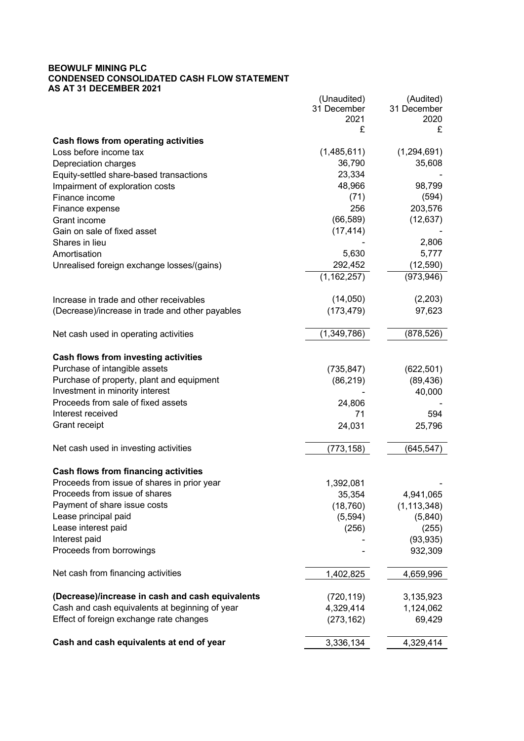#### **BEOWULF MINING PLC CONDENSED CONSOLIDATED CASH FLOW STATEMENT AS AT 31 DECEMBER 2021**

|                                                                       | (Unaudited)   | (Audited)           |
|-----------------------------------------------------------------------|---------------|---------------------|
|                                                                       | 31 December   | 31 December         |
|                                                                       | 2021          | 2020                |
|                                                                       | £             | £                   |
| <b>Cash flows from operating activities</b><br>Loss before income tax | (1,485,611)   | (1, 294, 691)       |
|                                                                       | 36,790        | 35,608              |
| Depreciation charges                                                  | 23,334        |                     |
| Equity-settled share-based transactions                               | 48,966        | 98,799              |
| Impairment of exploration costs                                       |               |                     |
| Finance income                                                        | (71)<br>256   | (594)<br>203,576    |
| Finance expense                                                       | (66, 589)     |                     |
| Grant income                                                          | (17, 414)     | (12, 637)           |
| Gain on sale of fixed asset                                           |               | 2,806               |
| Shares in lieu                                                        |               |                     |
| Amortisation                                                          | 5,630         | 5,777               |
| Unrealised foreign exchange losses/(gains)                            | 292,452       | (12, 590)           |
|                                                                       | (1, 162, 257) | (973, 946)          |
| Increase in trade and other receivables                               | (14,050)      | (2,203)             |
| (Decrease)/increase in trade and other payables                       | (173, 479)    | 97,623              |
|                                                                       |               |                     |
| Net cash used in operating activities                                 | (1, 349, 786) | (878, 526)          |
| <b>Cash flows from investing activities</b>                           |               |                     |
| Purchase of intangible assets                                         | (735, 847)    | (622, 501)          |
| Purchase of property, plant and equipment                             |               |                     |
| Investment in minority interest                                       | (86, 219)     | (89, 436)<br>40,000 |
| Proceeds from sale of fixed assets                                    | 24,806        |                     |
| Interest received                                                     | 71            | 594                 |
| Grant receipt                                                         |               |                     |
|                                                                       | 24,031        | 25,796              |
| Net cash used in investing activities                                 | (773, 158)    | (645, 547)          |
| <b>Cash flows from financing activities</b>                           |               |                     |
| Proceeds from issue of shares in prior year                           | 1,392,081     |                     |
| Proceeds from issue of shares                                         | 35,354        | 4,941,065           |
| Payment of share issue costs                                          | (18, 760)     | (1, 113, 348)       |
| Lease principal paid                                                  | (5, 594)      | (5,840)             |
| Lease interest paid                                                   | (256)         | (255)               |
| Interest paid                                                         |               | (93, 935)           |
| Proceeds from borrowings                                              |               | 932,309             |
|                                                                       |               |                     |
| Net cash from financing activities                                    | 1,402,825     | 4,659,996           |
| (Decrease)/increase in cash and cash equivalents                      | (720, 119)    | 3,135,923           |
| Cash and cash equivalents at beginning of year                        | 4,329,414     | 1,124,062           |
| Effect of foreign exchange rate changes                               | (273, 162)    | 69,429              |
| Cash and cash equivalents at end of year                              | 3,336,134     | 4,329,414           |
|                                                                       |               |                     |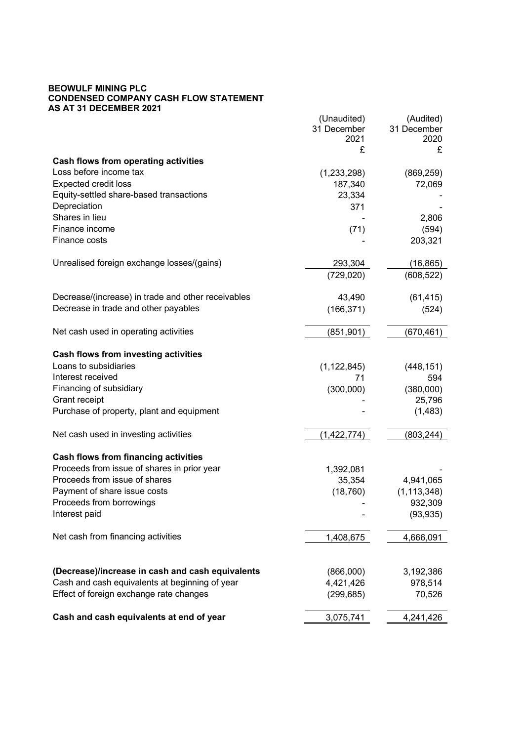## **BEOWULF MINING PLC CONDENSED COMPANY CASH FLOW STATEMENT AS AT 31 DECEMBER 2021**

| 31 December<br>31 December<br>2021<br>2020<br>£<br>£<br><b>Cash flows from operating activities</b><br>Loss before income tax<br>(1, 233, 298)<br>(869, 259)<br><b>Expected credit loss</b><br>187,340<br>72,069<br>Equity-settled share-based transactions<br>23,334<br>Depreciation<br>371<br>Shares in lieu<br>2,806<br>Finance income<br>(594)<br>(71)<br>Finance costs<br>203,321<br>Unrealised foreign exchange losses/(gains)<br>293,304<br>(16, 865)<br>(729, 020)<br>(608, 522)<br>Decrease/(increase) in trade and other receivables<br>43,490<br>(61, 415)<br>Decrease in trade and other payables<br>(166, 371)<br>(524)<br>Net cash used in operating activities<br>(851, 901)<br>(670, 461)<br><b>Cash flows from investing activities</b><br>Loans to subsidiaries<br>(1, 122, 845)<br>(448, 151)<br>Interest received<br>594<br>71<br>Financing of subsidiary<br>(300,000)<br>(380,000)<br>Grant receipt<br>25,796<br>Purchase of property, plant and equipment<br>(1, 483)<br>Net cash used in investing activities<br>(1, 422, 774)<br>(803, 244)<br><b>Cash flows from financing activities</b><br>Proceeds from issue of shares in prior year<br>1,392,081<br>Proceeds from issue of shares<br>35,354<br>4,941,065<br>Payment of share issue costs<br>(18, 760)<br>(1, 113, 348)<br>Proceeds from borrowings<br>932,309<br>Interest paid<br>(93, 935)<br>Net cash from financing activities<br>1,408,675<br>4,666,091<br>(Decrease)/increase in cash and cash equivalents<br>(866,000)<br>3,192,386<br>Cash and cash equivalents at beginning of year<br>4,421,426<br>978,514<br>Effect of foreign exchange rate changes<br>(299, 685)<br>70,526 | (Unaudited) | (Audited) |
|----------------------------------------------------------------------------------------------------------------------------------------------------------------------------------------------------------------------------------------------------------------------------------------------------------------------------------------------------------------------------------------------------------------------------------------------------------------------------------------------------------------------------------------------------------------------------------------------------------------------------------------------------------------------------------------------------------------------------------------------------------------------------------------------------------------------------------------------------------------------------------------------------------------------------------------------------------------------------------------------------------------------------------------------------------------------------------------------------------------------------------------------------------------------------------------------------------------------------------------------------------------------------------------------------------------------------------------------------------------------------------------------------------------------------------------------------------------------------------------------------------------------------------------------------------------------------------------------------------------------------------------------------------------------|-------------|-----------|
|                                                                                                                                                                                                                                                                                                                                                                                                                                                                                                                                                                                                                                                                                                                                                                                                                                                                                                                                                                                                                                                                                                                                                                                                                                                                                                                                                                                                                                                                                                                                                                                                                                                                      |             |           |
|                                                                                                                                                                                                                                                                                                                                                                                                                                                                                                                                                                                                                                                                                                                                                                                                                                                                                                                                                                                                                                                                                                                                                                                                                                                                                                                                                                                                                                                                                                                                                                                                                                                                      |             |           |
|                                                                                                                                                                                                                                                                                                                                                                                                                                                                                                                                                                                                                                                                                                                                                                                                                                                                                                                                                                                                                                                                                                                                                                                                                                                                                                                                                                                                                                                                                                                                                                                                                                                                      |             |           |
|                                                                                                                                                                                                                                                                                                                                                                                                                                                                                                                                                                                                                                                                                                                                                                                                                                                                                                                                                                                                                                                                                                                                                                                                                                                                                                                                                                                                                                                                                                                                                                                                                                                                      |             |           |
|                                                                                                                                                                                                                                                                                                                                                                                                                                                                                                                                                                                                                                                                                                                                                                                                                                                                                                                                                                                                                                                                                                                                                                                                                                                                                                                                                                                                                                                                                                                                                                                                                                                                      |             |           |
|                                                                                                                                                                                                                                                                                                                                                                                                                                                                                                                                                                                                                                                                                                                                                                                                                                                                                                                                                                                                                                                                                                                                                                                                                                                                                                                                                                                                                                                                                                                                                                                                                                                                      |             |           |
|                                                                                                                                                                                                                                                                                                                                                                                                                                                                                                                                                                                                                                                                                                                                                                                                                                                                                                                                                                                                                                                                                                                                                                                                                                                                                                                                                                                                                                                                                                                                                                                                                                                                      |             |           |
|                                                                                                                                                                                                                                                                                                                                                                                                                                                                                                                                                                                                                                                                                                                                                                                                                                                                                                                                                                                                                                                                                                                                                                                                                                                                                                                                                                                                                                                                                                                                                                                                                                                                      |             |           |
|                                                                                                                                                                                                                                                                                                                                                                                                                                                                                                                                                                                                                                                                                                                                                                                                                                                                                                                                                                                                                                                                                                                                                                                                                                                                                                                                                                                                                                                                                                                                                                                                                                                                      |             |           |
|                                                                                                                                                                                                                                                                                                                                                                                                                                                                                                                                                                                                                                                                                                                                                                                                                                                                                                                                                                                                                                                                                                                                                                                                                                                                                                                                                                                                                                                                                                                                                                                                                                                                      |             |           |
|                                                                                                                                                                                                                                                                                                                                                                                                                                                                                                                                                                                                                                                                                                                                                                                                                                                                                                                                                                                                                                                                                                                                                                                                                                                                                                                                                                                                                                                                                                                                                                                                                                                                      |             |           |
|                                                                                                                                                                                                                                                                                                                                                                                                                                                                                                                                                                                                                                                                                                                                                                                                                                                                                                                                                                                                                                                                                                                                                                                                                                                                                                                                                                                                                                                                                                                                                                                                                                                                      |             |           |
|                                                                                                                                                                                                                                                                                                                                                                                                                                                                                                                                                                                                                                                                                                                                                                                                                                                                                                                                                                                                                                                                                                                                                                                                                                                                                                                                                                                                                                                                                                                                                                                                                                                                      |             |           |
|                                                                                                                                                                                                                                                                                                                                                                                                                                                                                                                                                                                                                                                                                                                                                                                                                                                                                                                                                                                                                                                                                                                                                                                                                                                                                                                                                                                                                                                                                                                                                                                                                                                                      |             |           |
|                                                                                                                                                                                                                                                                                                                                                                                                                                                                                                                                                                                                                                                                                                                                                                                                                                                                                                                                                                                                                                                                                                                                                                                                                                                                                                                                                                                                                                                                                                                                                                                                                                                                      |             |           |
|                                                                                                                                                                                                                                                                                                                                                                                                                                                                                                                                                                                                                                                                                                                                                                                                                                                                                                                                                                                                                                                                                                                                                                                                                                                                                                                                                                                                                                                                                                                                                                                                                                                                      |             |           |
|                                                                                                                                                                                                                                                                                                                                                                                                                                                                                                                                                                                                                                                                                                                                                                                                                                                                                                                                                                                                                                                                                                                                                                                                                                                                                                                                                                                                                                                                                                                                                                                                                                                                      |             |           |
|                                                                                                                                                                                                                                                                                                                                                                                                                                                                                                                                                                                                                                                                                                                                                                                                                                                                                                                                                                                                                                                                                                                                                                                                                                                                                                                                                                                                                                                                                                                                                                                                                                                                      |             |           |
|                                                                                                                                                                                                                                                                                                                                                                                                                                                                                                                                                                                                                                                                                                                                                                                                                                                                                                                                                                                                                                                                                                                                                                                                                                                                                                                                                                                                                                                                                                                                                                                                                                                                      |             |           |
|                                                                                                                                                                                                                                                                                                                                                                                                                                                                                                                                                                                                                                                                                                                                                                                                                                                                                                                                                                                                                                                                                                                                                                                                                                                                                                                                                                                                                                                                                                                                                                                                                                                                      |             |           |
|                                                                                                                                                                                                                                                                                                                                                                                                                                                                                                                                                                                                                                                                                                                                                                                                                                                                                                                                                                                                                                                                                                                                                                                                                                                                                                                                                                                                                                                                                                                                                                                                                                                                      |             |           |
|                                                                                                                                                                                                                                                                                                                                                                                                                                                                                                                                                                                                                                                                                                                                                                                                                                                                                                                                                                                                                                                                                                                                                                                                                                                                                                                                                                                                                                                                                                                                                                                                                                                                      |             |           |
|                                                                                                                                                                                                                                                                                                                                                                                                                                                                                                                                                                                                                                                                                                                                                                                                                                                                                                                                                                                                                                                                                                                                                                                                                                                                                                                                                                                                                                                                                                                                                                                                                                                                      |             |           |
|                                                                                                                                                                                                                                                                                                                                                                                                                                                                                                                                                                                                                                                                                                                                                                                                                                                                                                                                                                                                                                                                                                                                                                                                                                                                                                                                                                                                                                                                                                                                                                                                                                                                      |             |           |
|                                                                                                                                                                                                                                                                                                                                                                                                                                                                                                                                                                                                                                                                                                                                                                                                                                                                                                                                                                                                                                                                                                                                                                                                                                                                                                                                                                                                                                                                                                                                                                                                                                                                      |             |           |
|                                                                                                                                                                                                                                                                                                                                                                                                                                                                                                                                                                                                                                                                                                                                                                                                                                                                                                                                                                                                                                                                                                                                                                                                                                                                                                                                                                                                                                                                                                                                                                                                                                                                      |             |           |
|                                                                                                                                                                                                                                                                                                                                                                                                                                                                                                                                                                                                                                                                                                                                                                                                                                                                                                                                                                                                                                                                                                                                                                                                                                                                                                                                                                                                                                                                                                                                                                                                                                                                      |             |           |
|                                                                                                                                                                                                                                                                                                                                                                                                                                                                                                                                                                                                                                                                                                                                                                                                                                                                                                                                                                                                                                                                                                                                                                                                                                                                                                                                                                                                                                                                                                                                                                                                                                                                      |             |           |
|                                                                                                                                                                                                                                                                                                                                                                                                                                                                                                                                                                                                                                                                                                                                                                                                                                                                                                                                                                                                                                                                                                                                                                                                                                                                                                                                                                                                                                                                                                                                                                                                                                                                      |             |           |
|                                                                                                                                                                                                                                                                                                                                                                                                                                                                                                                                                                                                                                                                                                                                                                                                                                                                                                                                                                                                                                                                                                                                                                                                                                                                                                                                                                                                                                                                                                                                                                                                                                                                      |             |           |
|                                                                                                                                                                                                                                                                                                                                                                                                                                                                                                                                                                                                                                                                                                                                                                                                                                                                                                                                                                                                                                                                                                                                                                                                                                                                                                                                                                                                                                                                                                                                                                                                                                                                      |             |           |
|                                                                                                                                                                                                                                                                                                                                                                                                                                                                                                                                                                                                                                                                                                                                                                                                                                                                                                                                                                                                                                                                                                                                                                                                                                                                                                                                                                                                                                                                                                                                                                                                                                                                      |             |           |
|                                                                                                                                                                                                                                                                                                                                                                                                                                                                                                                                                                                                                                                                                                                                                                                                                                                                                                                                                                                                                                                                                                                                                                                                                                                                                                                                                                                                                                                                                                                                                                                                                                                                      |             |           |
|                                                                                                                                                                                                                                                                                                                                                                                                                                                                                                                                                                                                                                                                                                                                                                                                                                                                                                                                                                                                                                                                                                                                                                                                                                                                                                                                                                                                                                                                                                                                                                                                                                                                      |             |           |
|                                                                                                                                                                                                                                                                                                                                                                                                                                                                                                                                                                                                                                                                                                                                                                                                                                                                                                                                                                                                                                                                                                                                                                                                                                                                                                                                                                                                                                                                                                                                                                                                                                                                      |             |           |
|                                                                                                                                                                                                                                                                                                                                                                                                                                                                                                                                                                                                                                                                                                                                                                                                                                                                                                                                                                                                                                                                                                                                                                                                                                                                                                                                                                                                                                                                                                                                                                                                                                                                      |             |           |
|                                                                                                                                                                                                                                                                                                                                                                                                                                                                                                                                                                                                                                                                                                                                                                                                                                                                                                                                                                                                                                                                                                                                                                                                                                                                                                                                                                                                                                                                                                                                                                                                                                                                      |             |           |
|                                                                                                                                                                                                                                                                                                                                                                                                                                                                                                                                                                                                                                                                                                                                                                                                                                                                                                                                                                                                                                                                                                                                                                                                                                                                                                                                                                                                                                                                                                                                                                                                                                                                      |             |           |
|                                                                                                                                                                                                                                                                                                                                                                                                                                                                                                                                                                                                                                                                                                                                                                                                                                                                                                                                                                                                                                                                                                                                                                                                                                                                                                                                                                                                                                                                                                                                                                                                                                                                      |             |           |
|                                                                                                                                                                                                                                                                                                                                                                                                                                                                                                                                                                                                                                                                                                                                                                                                                                                                                                                                                                                                                                                                                                                                                                                                                                                                                                                                                                                                                                                                                                                                                                                                                                                                      |             |           |
|                                                                                                                                                                                                                                                                                                                                                                                                                                                                                                                                                                                                                                                                                                                                                                                                                                                                                                                                                                                                                                                                                                                                                                                                                                                                                                                                                                                                                                                                                                                                                                                                                                                                      |             |           |
|                                                                                                                                                                                                                                                                                                                                                                                                                                                                                                                                                                                                                                                                                                                                                                                                                                                                                                                                                                                                                                                                                                                                                                                                                                                                                                                                                                                                                                                                                                                                                                                                                                                                      |             |           |
|                                                                                                                                                                                                                                                                                                                                                                                                                                                                                                                                                                                                                                                                                                                                                                                                                                                                                                                                                                                                                                                                                                                                                                                                                                                                                                                                                                                                                                                                                                                                                                                                                                                                      |             |           |
| Cash and cash equivalents at end of year<br>3,075,741<br>4,241,426                                                                                                                                                                                                                                                                                                                                                                                                                                                                                                                                                                                                                                                                                                                                                                                                                                                                                                                                                                                                                                                                                                                                                                                                                                                                                                                                                                                                                                                                                                                                                                                                   |             |           |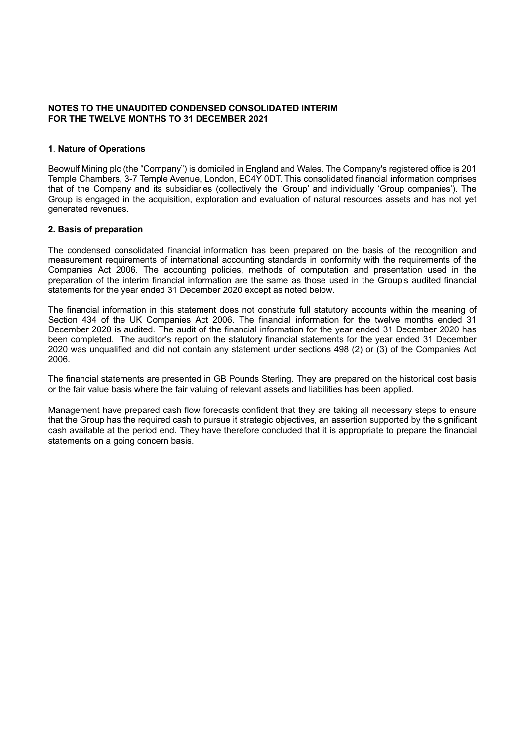## **NOTES TO THE UNAUDITED CONDENSED CONSOLIDATED INTERIM FOR THE TWELVE MONTHS TO 31 DECEMBER 2021**

## **1**. **Nature of Operations**

Beowulf Mining plc (the "Company") is domiciled in England and Wales. The Company's registered office is 201 Temple Chambers, 3-7 Temple Avenue, London, EC4Y 0DT. This consolidated financial information comprises that of the Company and its subsidiaries (collectively the 'Group' and individually 'Group companies'). The Group is engaged in the acquisition, exploration and evaluation of natural resources assets and has not yet generated revenues.

## **2. Basis of preparation**

The condensed consolidated financial information has been prepared on the basis of the recognition and measurement requirements of international accounting standards in conformity with the requirements of the Companies Act 2006. The accounting policies, methods of computation and presentation used in the preparation of the interim financial information are the same as those used in the Group's audited financial statements for the year ended 31 December 2020 except as noted below.

The financial information in this statement does not constitute full statutory accounts within the meaning of Section 434 of the UK Companies Act 2006. The financial information for the twelve months ended 31 December 2020 is audited. The audit of the financial information for the year ended 31 December 2020 has been completed. The auditor's report on the statutory financial statements for the year ended 31 December 2020 was unqualified and did not contain any statement under sections 498 (2) or (3) of the Companies Act 2006.

The financial statements are presented in GB Pounds Sterling. They are prepared on the historical cost basis or the fair value basis where the fair valuing of relevant assets and liabilities has been applied.

Management have prepared cash flow forecasts confident that they are taking all necessary steps to ensure that the Group has the required cash to pursue it strategic objectives, an assertion supported by the significant cash available at the period end. They have therefore concluded that it is appropriate to prepare the financial statements on a going concern basis.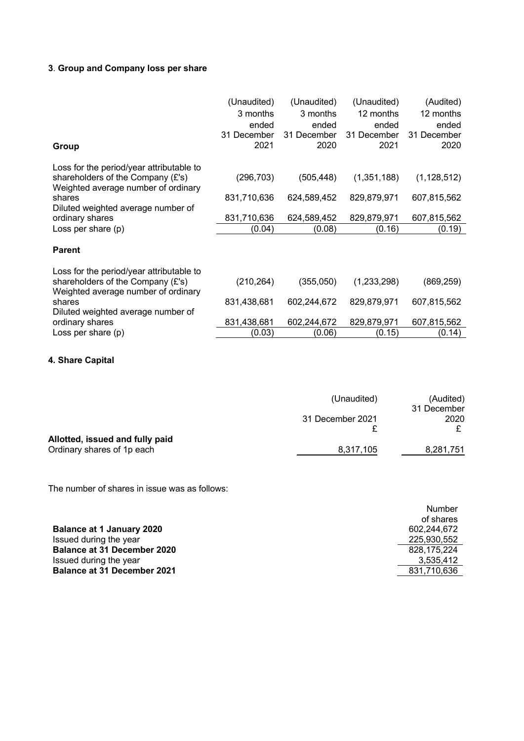# **3**. **Group and Company loss per share**

|                                          | (Unaudited) | (Unaudited) | (Unaudited) | (Audited)     |
|------------------------------------------|-------------|-------------|-------------|---------------|
|                                          | 3 months    | 3 months    | 12 months   | 12 months     |
|                                          | ended       | ended       | ended       | ended         |
|                                          | 31 December | 31 December | 31 December | 31 December   |
| <b>Group</b>                             | 2021        | 2020        | 2021        | 2020          |
| Loss for the period/year attributable to |             |             |             |               |
| shareholders of the Company (£'s)        | (296, 703)  | (505, 448)  | (1,351,188) | (1, 128, 512) |
| Weighted average number of ordinary      |             |             |             |               |
| shares                                   | 831,710,636 | 624,589,452 | 829,879,971 | 607,815,562   |
| Diluted weighted average number of       |             |             |             |               |
| ordinary shares                          | 831,710,636 | 624,589,452 | 829,879,971 | 607,815,562   |
| Loss per share (p)                       | (0.04)      | (0.08)      | (0.16)      | (0.19)        |
|                                          |             |             |             |               |
| <b>Parent</b>                            |             |             |             |               |
| Loss for the period/year attributable to |             |             |             |               |
| shareholders of the Company (£'s)        | (210, 264)  | (355,050)   | (1,233,298) | (869, 259)    |
| Weighted average number of ordinary      |             |             |             |               |
| shares                                   | 831,438,681 | 602,244,672 | 829,879,971 | 607,815,562   |
| Diluted weighted average number of       |             |             |             |               |
| ordinary shares                          | 831,438,681 | 602,244,672 | 829,879,971 | 607,815,562   |
| Loss per share (p)                       | (0.03)      | (0.06)      | (0.15)      | (0.14)        |

## **4. Share Capital**

|                                 | (Unaudited)      | (Audited)   |
|---------------------------------|------------------|-------------|
|                                 |                  | 31 December |
|                                 | 31 December 2021 | 2020        |
|                                 |                  |             |
| Allotted, issued and fully paid |                  |             |
| Ordinary shares of 1p each      | 8,317,105        | 8,281,751   |

The number of shares in issue was as follows:

|                                    | of shares   |
|------------------------------------|-------------|
| <b>Balance at 1 January 2020</b>   | 602.244.672 |
| Issued during the year             | 225.930.552 |
| <b>Balance at 31 December 2020</b> | 828.175.224 |
| Issued during the year             | 3.535.412   |
| <b>Balance at 31 December 2021</b> | 831.710.636 |

Number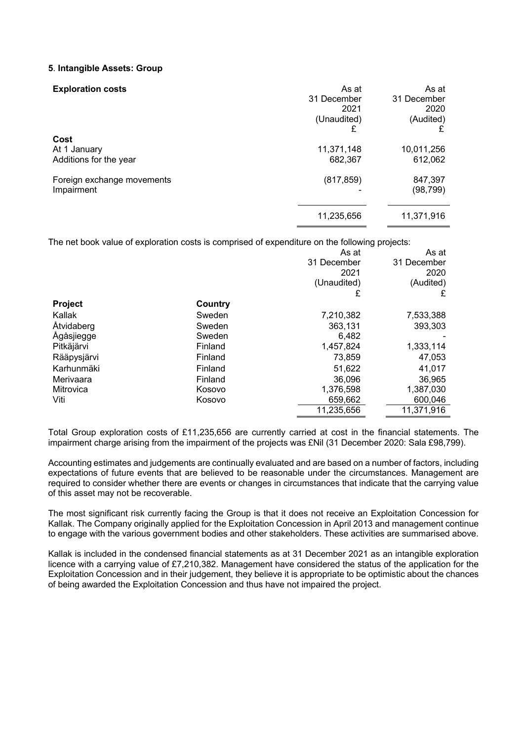## **5**. **Intangible Assets: Group**

| <b>Exploration costs</b>                       | As at<br>31 December<br>2021<br>(Unaudited)<br>£ | As at<br>31 December<br>2020<br>(Audited) |
|------------------------------------------------|--------------------------------------------------|-------------------------------------------|
| Cost<br>At 1 January<br>Additions for the year | 11,371,148<br>682,367                            | 10,011,256<br>612,062                     |
| Foreign exchange movements<br>Impairment       | (817, 859)                                       | 847,397<br>(98, 799)                      |
|                                                | 11,235,656                                       | 11,371,916                                |

The net book value of exploration costs is comprised of expenditure on the following projects:

|                |         | As at       | As at       |
|----------------|---------|-------------|-------------|
|                |         | 31 December | 31 December |
|                |         | 2021        | 2020        |
|                |         | (Unaudited) | (Audited)   |
|                |         | £           | £           |
| <b>Project</b> | Country |             |             |
| Kallak         | Sweden  | 7,210,382   | 7,533,388   |
| Åtvidaberg     | Sweden  | 363,131     | 393,303     |
| Ågåsjiegge     | Sweden  | 6.482       |             |
| Pitkäjärvi     | Finland | 1,457,824   | 1,333,114   |
| Rääpysjärvi    | Finland | 73,859      | 47,053      |
| Karhunmäki     | Finland | 51,622      | 41,017      |
| Merivaara      | Finland | 36,096      | 36,965      |
| Mitrovica      | Kosovo  | 1,376,598   | 1,387,030   |
| Viti           | Kosovo  | 659,662     | 600,046     |
|                |         | 11,235,656  | 11,371,916  |

Total Group exploration costs of £11,235,656 are currently carried at cost in the financial statements. The impairment charge arising from the impairment of the projects was £Nil (31 December 2020: Sala £98,799).

Accounting estimates and judgements are continually evaluated and are based on a number of factors, including expectations of future events that are believed to be reasonable under the circumstances. Management are required to consider whether there are events or changes in circumstances that indicate that the carrying value of this asset may not be recoverable.

The most significant risk currently facing the Group is that it does not receive an Exploitation Concession for Kallak. The Company originally applied for the Exploitation Concession in April 2013 and management continue to engage with the various government bodies and other stakeholders. These activities are summarised above.

Kallak is included in the condensed financial statements as at 31 December 2021 as an intangible exploration licence with a carrying value of £7,210,382. Management have considered the status of the application for the Exploitation Concession and in their judgement, they believe it is appropriate to be optimistic about the chances of being awarded the Exploitation Concession and thus have not impaired the project.